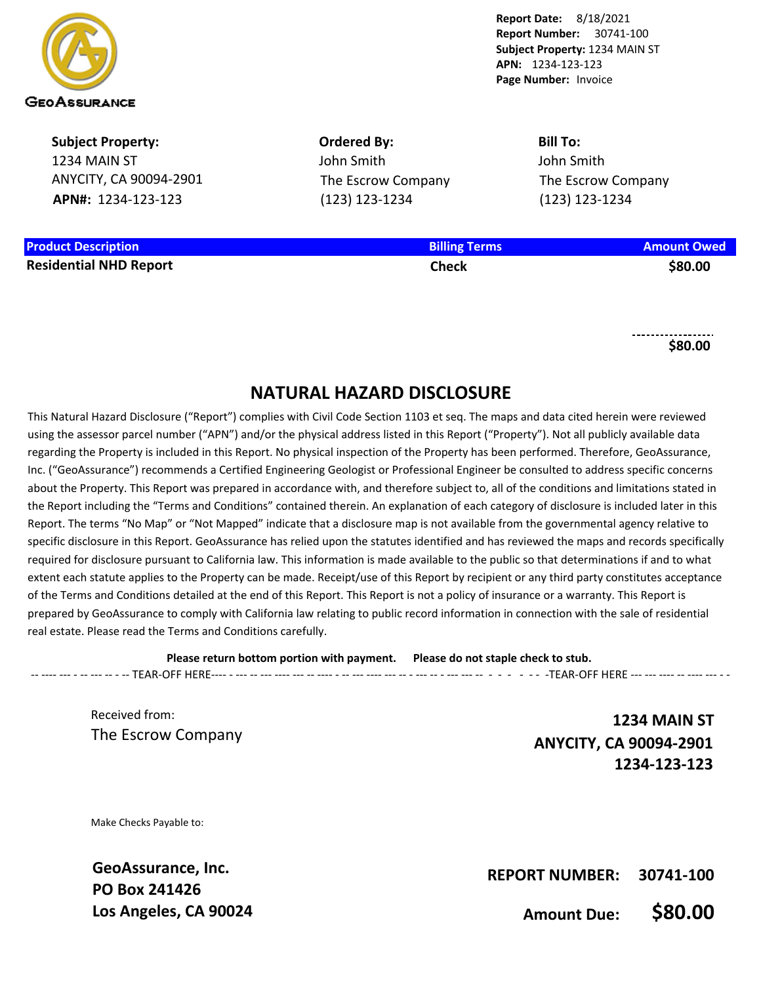

**Subject Property:** 1234 MAIN ST ANYCITY, CA 90094-2901 **APN#:** 1234-123-123

**Product Description Billing Terms Amount Owed Residential NHD Report Check \$80.00**

**Ordered By:** John Smith The Escrow Company (123) 123-1234

**Bill To:** John Smith The Escrow Company (123) 123-1234

**\$80.00**

## **NATURAL HAZARD DISCLOSURE**

This Natural Hazard Disclosure ("Report") complies with Civil Code Section 1103 et seq. The maps and data cited herein were reviewed using the assessor parcel number ("APN") and/or the physical address listed in this Report ("Property"). Not all publicly available data regarding the Property is included in this Report. No physical inspection of the Property has been performed. Therefore, GeoAssurance, Inc. ("GeoAssurance") recommends a Certified Engineering Geologist or Professional Engineer be consulted to address specific concerns about the Property. This Report was prepared in accordance with, and therefore subject to, all of the conditions and limitations stated in the Report including the "Terms and Conditions" contained therein. An explanation of each category of disclosure is included later in this Report. The terms "No Map" or "Not Mapped" indicate that a disclosure map is not available from the governmental agency relative to specific disclosure in this Report. GeoAssurance has relied upon the statutes identified and has reviewed the maps and records specifically required for disclosure pursuant to California law. This information is made available to the public so that determinations if and to what extent each statute applies to the Property can be made. Receipt/use of this Report by recipient or any third party constitutes acceptance of the Terms and Conditions detailed at the end of this Report. This Report is not a policy of insurance or a warranty. This Report is prepared by GeoAssurance to comply with California law relating to public record information in connection with the sale of residential real estate. Please read the Terms and Conditions carefully.

**Please return bottom portion with payment. Please do not staple check to stub.**  -- ---- --- - -- --- -- - -- TEAR-OFF HERE---- - --- -- --- ---- --- -- ---- - -- --- ---- --- -- - --- -- - --- --- -- - - - - - - -TEAR-OFF HERE --- --- ---- -- ---- --- - -

Received from: The Escrow Company

**1234 MAIN ST ANYCITY, CA 90094-2901 1234-123-123**

Make Checks Payable to:

**GeoAssurance, Inc. PO Box 241426 Los Angeles, CA 90024**

**REPORT NUMBER: 30741-100**

**Amount Due: \$80.00**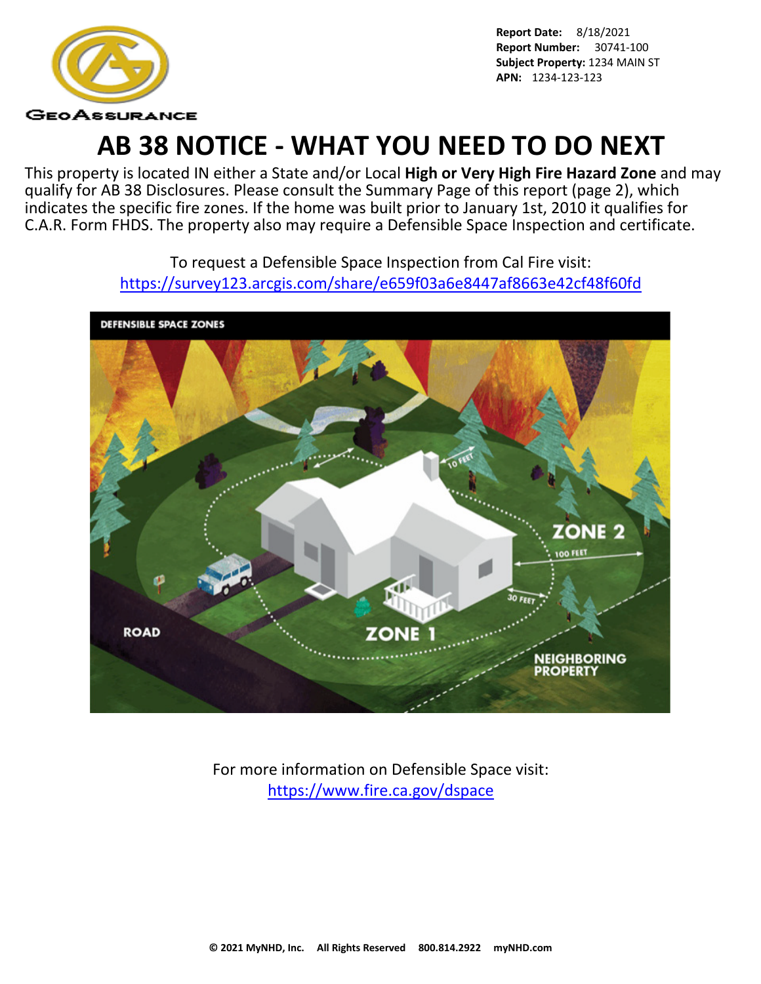

# **AB 38 NOTICE - WHAT YOU NEED TO DO NEXT**

This property is located IN either a State and/or Local **High or Very High Fire Hazard Zone** and may qualify for AB 38 Disclosures. Please consult the Summary Page of this report (page 2), which indicates the specific fire zones. If the home was built prior to January 1st, 2010 it qualifies for C.A.R. Form FHDS. The property also may require a Defensible Space Inspection and certificate.

> To request a Defensible Space Inspection from Cal Fire visit: <https://survey123.arcgis.com/share/e659f03a6e8447af8663e42cf48f60fd>



For more information on Defensible Space visit: <https://www.fire.ca.gov/dspace>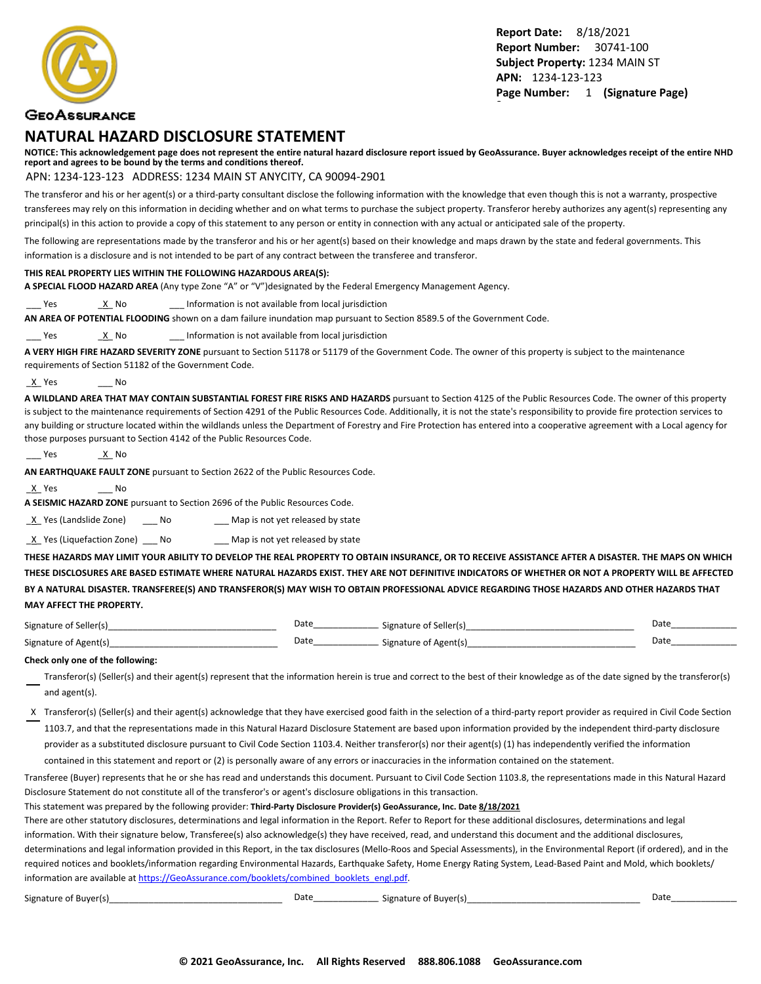

#### **GEOASSURANCE**

#### **NATURAL HAZARD DISCLOSURE STATEMENT**

**NOTICE: This acknowledgement page does not represent the entire natural hazard disclosure report issued by GeoAssurance. Buyer acknowledges receipt of the entire NHD report and agrees to be bound by the terms and conditions thereof.**

#### APN: 1234-123-123 ADDRESS: 1234 MAIN ST ANYCITY, CA 90094-2901

The transferor and his or her agent(s) or a third-party consultant disclose the following information with the knowledge that even though this is not a warranty, prospective transferees may rely on this information in deciding whether and on what terms to purchase the subject property. Transferor hereby authorizes any agent(s) representing any principal(s) in this action to provide a copy of this statement to any person or entity in connection with any actual or anticipated sale of the property.

The following are representations made by the transferor and his or her agent(s) based on their knowledge and maps drawn by the state and federal governments. This information is a disclosure and is not intended to be part of any contract between the transferee and transferor.

#### **THIS REAL PROPERTY LIES WITHIN THE FOLLOWING HAZARDOUS AREA(S):**

**A SPECIAL FLOOD HAZARD AREA** (Any type Zone "A" or "V")designated by the Federal Emergency Management Agency.

Yes X No 2011 Information is not available from local jurisdiction

**AN AREA OF POTENTIAL FLOODING** shown on a dam failure inundation map pursuant to Section 8589.5 of the Government Code.

Yes X No 2011 Information is not available from local jurisdiction

**A VERY HIGH FIRE HAZARD SEVERITY ZONE** pursuant to Section 51178 or 51179 of the Government Code. The owner of this property is subject to the maintenance requirements of Section 51182 of the Government Code.

\_X\_ Yes \_\_\_ No

**A WILDLAND AREA THAT MAY CONTAIN SUBSTANTIAL FOREST FIRE RISKS AND HAZARDS** pursuant to Section 4125 of the Public Resources Code. The owner of this property is subject to the maintenance requirements of Section 4291 of the Public Resources Code. Additionally, it is not the state's responsibility to provide fire protection services to any building or structure located within the wildlands unless the Department of Forestry and Fire Protection has entered into a cooperative agreement with a Local agency for those purposes pursuant to Section 4142 of the Public Resources Code.

```
___ Yes ______<u>_X</u>__ No
```
**AN EARTHQUAKE FAULT ZONE** pursuant to Section 2622 of the Public Resources Code.

\_X\_ Yes \_\_\_ No

**A SEISMIC HAZARD ZONE** pursuant to Section 2696 of the Public Resources Code.

X Yes (Landslide Zone) \_\_\_ No \_\_\_\_ Map is not yet released by state

 $\underline{X}$  Yes (Liquefaction Zone) \_\_\_ No \_\_\_\_ Map is not yet released by state

**THESE HAZARDS MAY LIMIT YOUR ABILITY TO DEVELOP THE REAL PROPERTY TO OBTAIN INSURANCE, OR TO RECEIVE ASSISTANCE AFTER A DISASTER. THE MAPS ON WHICH THESE DISCLOSURES ARE BASED ESTIMATE WHERE NATURAL HAZARDS EXIST. THEY ARE NOT DEFINITIVE INDICATORS OF WHETHER OR NOT A PROPERTY WILL BE AFFECTED BY A NATURAL DISASTER. TRANSFEREE(S) AND TRANSFEROR(S) MAY WISH TO OBTAIN PROFESSIONAL ADVICE REGARDING THOSE HAZARDS AND OTHER HAZARDS THAT MAY AFFECT THE PROPERTY.**

| Signature of<br>Seller(s)  | Date | Signature of Seller(s) | Date |
|----------------------------|------|------------------------|------|
| Signature of<br>r Agent(s) | Date | Signature of Agent(s)  | Date |

#### **Check only one of the following:**

- Transferor(s) (Seller(s) and their agent(s) represent that the information herein is true and correct to the best of their knowledge as of the date signed by the transferor(s) and agent(s).
- X Transferor(s) (Seller(s) and their agent(s) acknowledge that they have exercised good faith in the selection of a third-party report provider as required in Civil Code Section 1103.7, and that the representations made in this Natural Hazard Disclosure Statement are based upon information provided by the independent third-party disclosure provider as a substituted disclosure pursuant to Civil Code Section 1103.4. Neither transferor(s) nor their agent(s) (1) has independently verified the information

contained in this statement and report or (2) is personally aware of any errors or inaccuracies in the information contained on the statement.

Transferee (Buyer) represents that he or she has read and understands this document. Pursuant to Civil Code Section 1103.8, the representations made in this Natural Hazard Disclosure Statement do not constitute all of the transferor's or agent's disclosure obligations in this transaction.

This statement was prepared by the following provider: **Third-Party Disclosure Provider(s) GeoAssurance, Inc. Date 8/18/2021**

There are other statutory disclosures, determinations and legal information in the Report. Refer to Report for these additional disclosures, determinations and legal information. With their signature below, Transferee(s) also acknowledge(s) they have received, read, and understand this document and the additional disclosures, determinations and legal information provided in this Report, in the tax disclosures (Mello-Roos and Special Assessments), in the Environmental Report (if ordered), and in the required notices and booklets/information regarding Environmental Hazards, Earthquake Safety, Home Energy Rating System, Lead-Based Paint and Mold, which booklets/ information are available at [https://GeoAssurance.com/booklets/combined\\_booklets\\_engl.pdf](https://GeoAssurance.com/booklets/combined_booklets_engl.pdf).

| $\sim$ $\sim$<br>Signature of Buyerle' | Date | of Buver(s) ؛<br>Signature of L | Dati |
|----------------------------------------|------|---------------------------------|------|
|----------------------------------------|------|---------------------------------|------|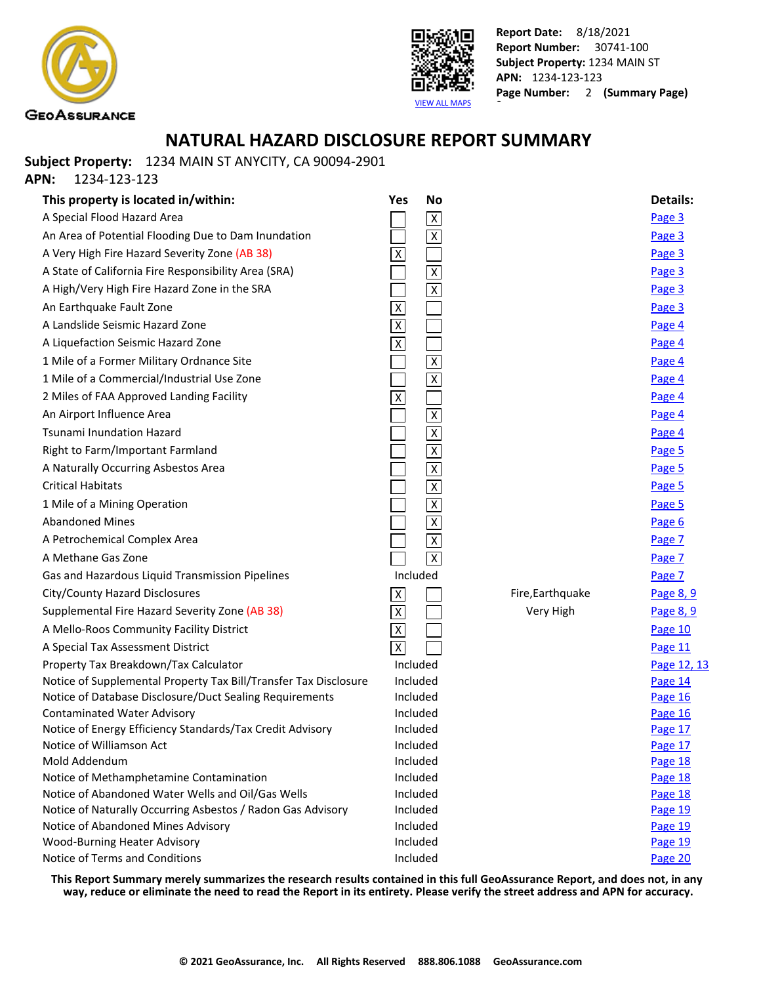



## **NATURAL HAZARD DISCLOSURE REPORT SUMMARY**

**Subject Property:** 1234 MAIN ST ANYCITY, CA 90094-2901

**APN:** 1234-123-123

| This property is located in/within:                                   | Yes                       | <b>No</b>               |                  | <b>Details:</b> |
|-----------------------------------------------------------------------|---------------------------|-------------------------|------------------|-----------------|
| A Special Flood Hazard Area                                           |                           | $\overline{\mathsf{x}}$ |                  | Page 3          |
| An Area of Potential Flooding Due to Dam Inundation                   |                           | $\overline{\mathsf{x}}$ |                  | Page 3          |
| A Very High Fire Hazard Severity Zone (AB 38)                         | Χ                         |                         |                  | Page 3          |
| A State of California Fire Responsibility Area (SRA)                  |                           | $\overline{\mathsf{x}}$ |                  | Page 3          |
| A High/Very High Fire Hazard Zone in the SRA                          |                           | $\overline{\mathsf{x}}$ |                  | Page 3          |
| An Earthquake Fault Zone                                              | $\overline{X}$            |                         |                  | Page 3          |
| A Landslide Seismic Hazard Zone                                       | $\overline{\mathsf{X}}$   |                         |                  | Page 4          |
| A Liquefaction Seismic Hazard Zone                                    | $\overline{\mathsf{x}}$   |                         |                  | Page 4          |
| 1 Mile of a Former Military Ordnance Site                             |                           | $\overline{\mathsf{x}}$ |                  | Page 4          |
| 1 Mile of a Commercial/Industrial Use Zone                            |                           | $\overline{\mathsf{x}}$ |                  | Page 4          |
| 2 Miles of FAA Approved Landing Facility                              | $\overline{X}$            |                         |                  | Page 4          |
| An Airport Influence Area                                             |                           | $\overline{\mathsf{x}}$ |                  | Page 4          |
| <b>Tsunami Inundation Hazard</b>                                      |                           | $\overline{\mathsf{x}}$ |                  | Page 4          |
| Right to Farm/Important Farmland                                      |                           | $\overline{\mathsf{x}}$ |                  | Page 5          |
| A Naturally Occurring Asbestos Area                                   |                           | $\overline{\mathsf{x}}$ |                  | Page 5          |
| <b>Critical Habitats</b>                                              |                           | $\overline{\mathsf{X}}$ |                  | Page 5          |
| 1 Mile of a Mining Operation                                          |                           | $\overline{\mathsf{x}}$ |                  | Page 5          |
| <b>Abandoned Mines</b>                                                |                           | $\overline{\mathsf{x}}$ |                  | Page 6          |
| A Petrochemical Complex Area                                          |                           | $\overline{\mathsf{x}}$ |                  | Page 7          |
| A Methane Gas Zone                                                    |                           | $\overline{X}$          |                  | Page 7          |
| Gas and Hazardous Liquid Transmission Pipelines                       |                           | Included                |                  | Page 7          |
| City/County Hazard Disclosures                                        | $\boldsymbol{\mathsf{X}}$ |                         | Fire, Earthquake | Page 8, 9       |
| Supplemental Fire Hazard Severity Zone (AB 38)                        | $\overline{X}$            |                         | Very High        | Page 8, 9       |
| A Mello-Roos Community Facility District                              | $\overline{\mathsf{X}}$   |                         |                  | Page 10         |
| A Special Tax Assessment District                                     | $\overline{X}$            |                         |                  | Page 11         |
| Property Tax Breakdown/Tax Calculator                                 |                           | Included                |                  | Page 12, 13     |
| Notice of Supplemental Property Tax Bill/Transfer Tax Disclosure      |                           | Included                |                  | Page 14         |
| Notice of Database Disclosure/Duct Sealing Requirements               |                           | Included                |                  | Page 16         |
| <b>Contaminated Water Advisory</b>                                    |                           | Included                |                  | Page 16         |
| Notice of Energy Efficiency Standards/Tax Credit Advisory             |                           | Included                |                  | Page 17         |
| Notice of Williamson Act                                              |                           | Included                |                  | Page 17         |
| Mold Addendum                                                         |                           | Included                |                  | Page 18         |
| Notice of Methamphetamine Contamination                               |                           | Included                |                  | Page 18         |
| Notice of Abandoned Water Wells and Oil/Gas Wells                     |                           | Included                |                  | Page 18         |
| Notice of Naturally Occurring Asbestos / Radon Gas Advisory           |                           | Included                |                  | Page 19         |
| Notice of Abandoned Mines Advisory                                    |                           | Included                |                  | Page 19         |
| <b>Wood-Burning Heater Advisory</b><br>Notice of Terms and Conditions |                           | Included                |                  | Page 19         |
|                                                                       |                           | Included                |                  | Page 20         |

**This Report Summary merely summarizes the research results contained in this full GeoAssurance Report, and does not, in any way, reduce or eliminate the need to read the Report in its entirety. Please verify the street address and APN for accuracy.**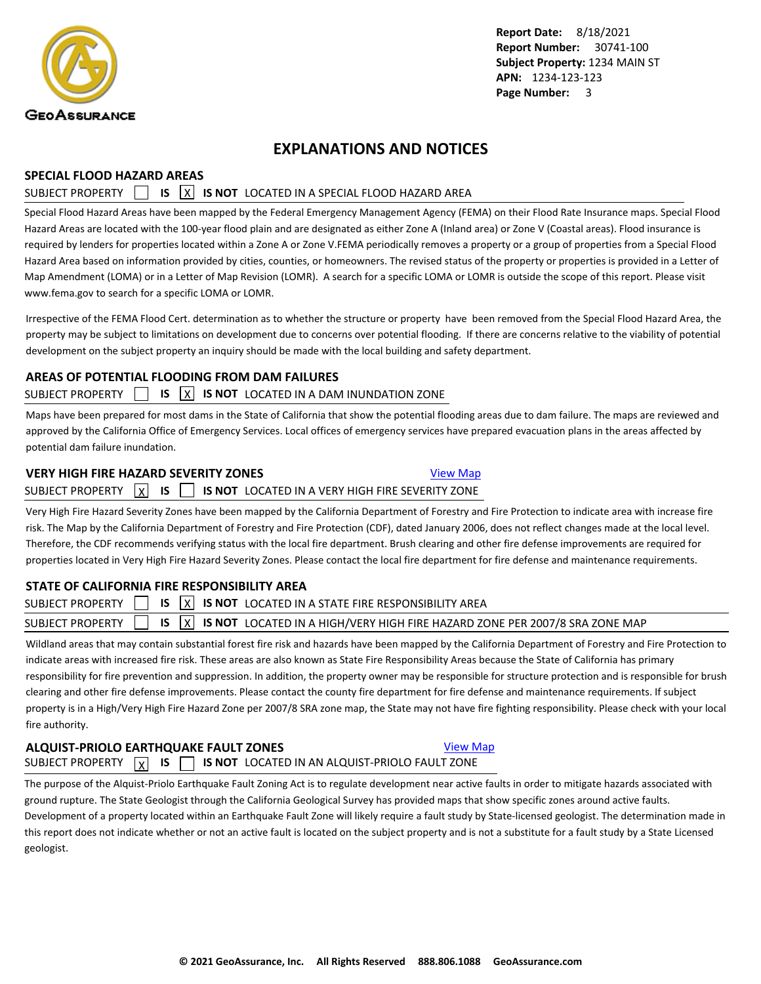<span id="page-4-0"></span>

### **EXPLANATIONS AND NOTICES**

#### **SPECIAL FLOOD HAZARD AREAS**

### SUBJECT PROPERTY **15 X IS NOT** LOCATED IN A SPECIAL FLOOD HAZARD AREA

Special Flood Hazard Areas have been mapped by the Federal Emergency Management Agency (FEMA) on their Flood Rate Insurance maps. Special Flood Hazard Areas are located with the 100-year flood plain and are designated as either Zone A (Inland area) or Zone V (Coastal areas). Flood insurance is required by lenders for properties located within a Zone A or Zone V.FEMA periodically removes a property or a group of properties from a Special Flood Hazard Area based on information provided by cities, counties, or homeowners. The revised status of the property or properties is provided in a Letter of Map Amendment (LOMA) or in a Letter of Map Revision (LOMR). A search for a specific LOMA or LOMR is outside the scope of this report. Please visit www.fema.gov to search for a specific LOMA or LOMR.

Irrespective of the FEMA Flood Cert. determination as to whether the structure or property have been removed from the Special Flood Hazard Area, the property may be subject to limitations on development due to concerns over potential flooding. If there are concerns relative to the viability of potential development on the subject property an inquiry should be made with the local building and safety department.

### **AREAS OF POTENTIAL FLOODING FROM DAM FAILURES**

#### SUBJECT PROPERTY **IS X IS NOT** LOCATED IN A DAM INUNDATION ZONE

Maps have been prepared for most dams in the State of California that show the potential flooding areas due to dam failure. The maps are reviewed and approved by the California Office of Emergency Services. Local offices of emergency services have prepared evacuation plans in the areas affected by potential dam failure inundation.

#### **VERY HIGH FIRE HAZARD SEVERITY ZONES [View Map](https://www.geoassurance.com/hazardmaps/1295378/713458)** View Map

SUBJECT PROPERTY X **IS IS 15 NOT** LOCATED IN A VERY HIGH FIRE SEVERITY ZONE

Very High Fire Hazard Severity Zones have been mapped by the California Department of Forestry and Fire Protection to indicate area with increase fire risk. The Map by the California Department of Forestry and Fire Protection (CDF), dated January 2006, does not reflect changes made at the local level. Therefore, the CDF recommends verifying status with the local fire department. Brush clearing and other fire defense improvements are required for properties located in Very High Fire Hazard Severity Zones. Please contact the local fire department for fire defense and maintenance requirements.

### **STATE OF CALIFORNIA FIRE RESPONSIBILITY AREA**

| SUBJECT PROPERTY $\Box$ IS $\overline{X}$ IS NOT LOCATED IN A STATE FIRE RESPONSIBILITY AREA                          |  |
|-----------------------------------------------------------------------------------------------------------------------|--|
| SUBJECT PROPERTY $\Box$ IS $\overline{X}$ IS NOT LOCATED IN A HIGH/VERY HIGH FIRE HAZARD ZONE PER 2007/8 SRA ZONE MAP |  |
|                                                                                                                       |  |

Wildland areas that may contain substantial forest fire risk and hazards have been mapped by the California Department of Forestry and Fire Protection to indicate areas with increased fire risk. These areas are also known as State Fire Responsibility Areas because the State of California has primary responsibility for fire prevention and suppression. In addition, the property owner may be responsible for structure protection and is responsible for brush clearing and other fire defense improvements. Please contact the county fire department for fire defense and maintenance requirements. If subject property is in a High/Very High Fire Hazard Zone per 2007/8 SRA zone map, the State may not have fire fighting responsibility. Please check with your local fire authority.

#### **ALQUIST-PRIOLO EARTHQUAKE FAULT ZONES [View Map](https://www.geoassurance.com/hazardmaps/1295379/713458)** SUBJECT PROPERTY  $\boxed{\chi}$  **IS**  $\boxed{\phantom{0}}$  **IS NOT** LOCATED IN AN ALQUIST-PRIOLO FAULT ZONE

The purpose of the Alquist-Priolo Earthquake Fault Zoning Act is to regulate development near active faults in order to mitigate hazards associated with ground rupture. The State Geologist through the California Geological Survey has provided maps that show specific zones around active faults. Development of a property located within an Earthquake Fault Zone will likely require a fault study by State-licensed geologist. The determination made in this report does not indicate whether or not an active fault is located on the subject property and is not a substitute for a fault study by a State Licensed geologist.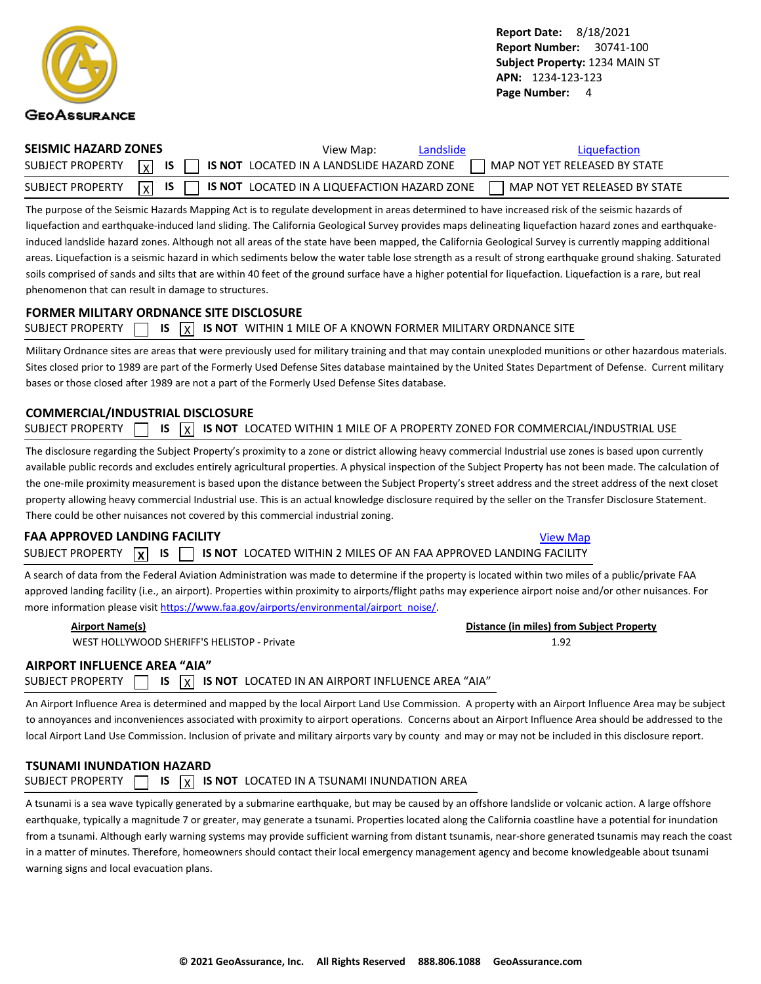<span id="page-5-0"></span>

| SEISMIC HAZARD ZONES | View Map:<br>Landslide                                                                                   | Liquefaction                  |
|----------------------|----------------------------------------------------------------------------------------------------------|-------------------------------|
|                      | SUBJECT PROPERTY $\boxed{x}$ is $\boxed{\phantom{x}}$ is not located in a landslide hazard zone          | MAP NOT YET RELEASED BY STATE |
|                      | SUBJECT PROPERTY $\boxed{\chi}$ is $\boxed{\phantom{\chi}}$ is not located in a liquefaction hazard zone | MAP NOT YET RELEASED BY STATE |

The purpose of the Seismic Hazards Mapping Act is to regulate development in areas determined to have increased risk of the seismic hazards of liquefaction and earthquake-induced land sliding. The California Geological Survey provides maps delineating liquefaction hazard zones and earthquakeinduced landslide hazard zones. Although not all areas of the state have been mapped, the California Geological Survey is currently mapping additional areas. Liquefaction is a seismic hazard in which sediments below the water table lose strength as a result of strong earthquake ground shaking. Saturated soils comprised of sands and silts that are within 40 feet of the ground surface have a higher potential for liquefaction. Liquefaction is a rare, but real phenomenon that can result in damage to structures.

#### **FORMER MILITARY ORDNANCE SITE DISCLOSURE**

|  |  |  |  |  | SUBJECT PROPERTY $\Box$ IS $\overline{X}$ IS NOT WITHIN 1 MILE OF A KNOWN FORMER MILITARY ORDNANCE SITE |
|--|--|--|--|--|---------------------------------------------------------------------------------------------------------|
|--|--|--|--|--|---------------------------------------------------------------------------------------------------------|

Military Ordnance sites are areas that were previously used for military training and that may contain unexploded munitions or other hazardous materials. Sites closed prior to 1989 are part of the Formerly Used Defense Sites database maintained by the United States Department of Defense. Current military bases or those closed after 1989 are not a part of the Formerly Used Defense Sites database.

#### **COMMERCIAL/INDUSTRIAL DISCLOSURE**

| SUBJECT PROPERTY $\Box$ IS $\boxed{\chi}$ IS NOT LOCATED WITHIN 1 MILE OF A PROPERTY ZONED FOR COMMERCIAL/INDUSTRIAL USE |  |  |  |  |  |  |  |  |  |  |
|--------------------------------------------------------------------------------------------------------------------------|--|--|--|--|--|--|--|--|--|--|
|--------------------------------------------------------------------------------------------------------------------------|--|--|--|--|--|--|--|--|--|--|

The disclosure regarding the Subject Property's proximity to a zone or district allowing heavy commercial Industrial use zones is based upon currently available public records and excludes entirely agricultural properties. A physical inspection of the Subject Property has not been made. The calculation of the one-mile proximity measurement is based upon the distance between the Subject Property's street address and the street address of the next closet property allowing heavy commercial Industrial use. This is an actual knowledge disclosure required by the seller on the Transfer Disclosure Statement. There could be other nuisances not covered by this commercial industrial zoning.

#### **FAA APPROVED LANDING FACILITY [View Map](https://www.geoassurance.com/hazardmaps/1295384/713458) View Map** View Map

SUBJECT PROPERTY **X IS IS IS IS NOT** LOCATED WITHIN 2 MILES OF AN FAA APPROVED LANDING FACILITY

A search of data from the Federal Aviation Administration was made to determine if the property is located within two miles of a public/private FAA approved landing facility (i.e., an airport). Properties within proximity to airports/flight paths may experience airport noise and/or other nuisances. For more information please visit [https://www.faa.gov/airports/environmental/airport\\_noise/](https://www.faa.gov/airports/environmental/airport_noise/).

WEST HOLLYWOOD SHERIFF'S HELISTOP - Private 1.92

**Airport Name(s) Distance (in miles) from Subject Property**

### **AIRPORT INFLUENCE AREA "AIA"**

SUBJECT PROPERTY  $\Box$  **IS**  $\overline{X}$  **IS NOT** LOCATED IN AN AIRPORT INFLUENCE AREA "AIA"

An Airport Influence Area is determined and mapped by the local Airport Land Use Commission. A property with an Airport Influence Area may be subject to annoyances and inconveniences associated with proximity to airport operations. Concerns about an Airport Influence Area should be addressed to the local Airport Land Use Commission. Inclusion of private and military airports vary by county and may or may not be included in this disclosure report.

### **TSUNAMI INUNDATION HAZARD** SUBJECT PROPERTY  $\Box$  **IS**  $\overline{X}$  **IS NOT** LOCATED IN A TSUNAMI INUNDATION AREA

A tsunami is a sea wave typically generated by a submarine earthquake, but may be caused by an offshore landslide or volcanic action. A large offshore earthquake, typically a magnitude 7 or greater, may generate a tsunami. Properties located along the California coastline have a potential for inundation from a tsunami. Although early warning systems may provide sufficient warning from distant tsunamis, near-shore generated tsunamis may reach the coast in a matter of minutes. Therefore, homeowners should contact their local emergency management agency and become knowledgeable about tsunami warning signs and local evacuation plans.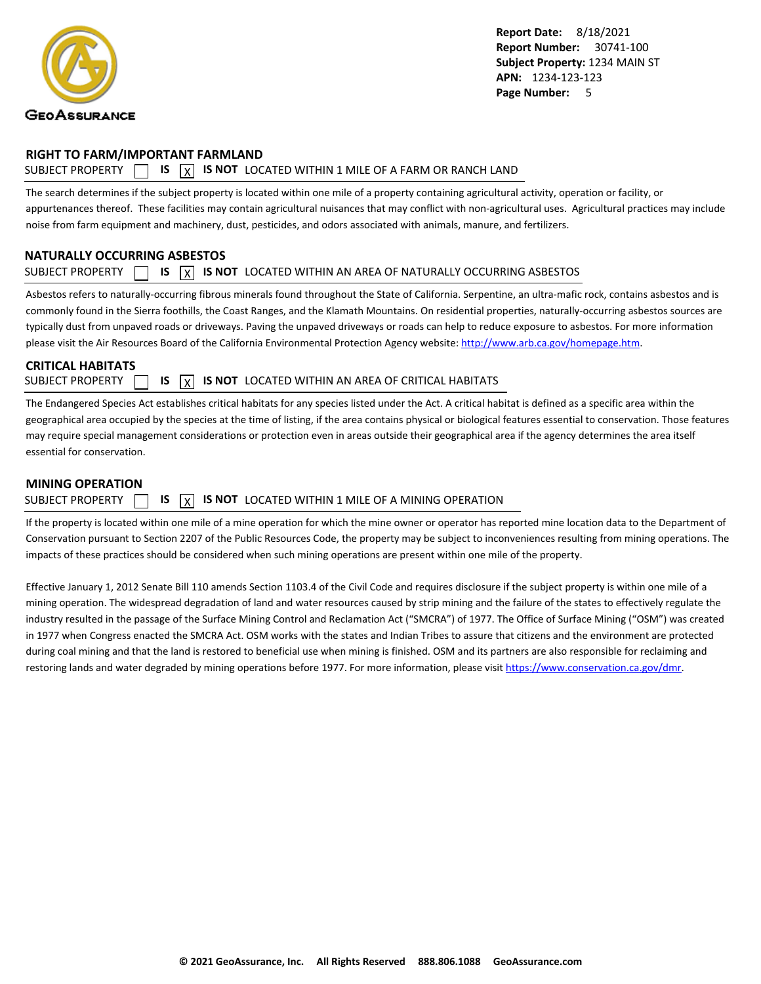<span id="page-6-0"></span>

#### **RIGHT TO FARM/IMPORTANT FARMLAND**

#### SUBJECT PROPERTY  $\Box$  **IS**  $\overline{X}$  **IS NOT** LOCATED WITHIN 1 MILE OF A FARM OR RANCH LAND

The search determines if the subject property is located within one mile of a property containing agricultural activity, operation or facility, or appurtenances thereof. These facilities may contain agricultural nuisances that may conflict with non-agricultural uses. Agricultural practices may include noise from farm equipment and machinery, dust, pesticides, and odors associated with animals, manure, and fertilizers.

#### **NATURALLY OCCURRING ASBESTOS**

#### SUBJECT PROPERTY  $\Box$  **IS**  $\overline{X}$  **IS NOT** LOCATED WITHIN AN AREA OF NATURALLY OCCURRING ASBESTOS

Asbestos refers to naturally-occurring fibrous minerals found throughout the State of California. Serpentine, an ultra-mafic rock, contains asbestos and is commonly found in the Sierra foothills, the Coast Ranges, and the Klamath Mountains. On residential properties, naturally-occurring asbestos sources are typically dust from unpaved roads or driveways. Paving the unpaved driveways or roads can help to reduce exposure to asbestos. For more information please visit the Air Resources Board of the California Environmental Protection Agency website:<http://www.arb.ca.gov/homepage.htm>.

#### **CRITICAL HABITATS**

SUBJECT PROPERTY **15 IS X IS NOT** LOCATED WITHIN AN AREA OF CRITICAL HABITATS

The Endangered Species Act establishes critical habitats for any species listed under the Act. A critical habitat is defined as a specific area within the geographical area occupied by the species at the time of listing, if the area contains physical or biological features essential to conservation. Those features may require special management considerations or protection even in areas outside their geographical area if the agency determines the area itself essential for conservation.

#### **MINING OPERATION**

SUBJECT PROPERTY  $\Box$  **IS**  $\overline{X}$  **IS NOT** LOCATED WITHIN 1 MILE OF A MINING OPERATION

If the property is located within one mile of a mine operation for which the mine owner or operator has reported mine location data to the Department of Conservation pursuant to Section 2207 of the Public Resources Code, the property may be subject to inconveniences resulting from mining operations. The impacts of these practices should be considered when such mining operations are present within one mile of the property.

Effective January 1, 2012 Senate Bill 110 amends Section 1103.4 of the Civil Code and requires disclosure if the subject property is within one mile of a mining operation. The widespread degradation of land and water resources caused by strip mining and the failure of the states to effectively regulate the industry resulted in the passage of the Surface Mining Control and Reclamation Act ("SMCRA") of 1977. The Office of Surface Mining ("OSM") was created in 1977 when Congress enacted the SMCRA Act. OSM works with the states and Indian Tribes to assure that citizens and the environment are protected during coal mining and that the land is restored to beneficial use when mining is finished. OSM and its partners are also responsible for reclaiming and restoring lands and water degraded by mining operations before 1977. For more information, please visit<https://www.conservation.ca.gov/dmr>.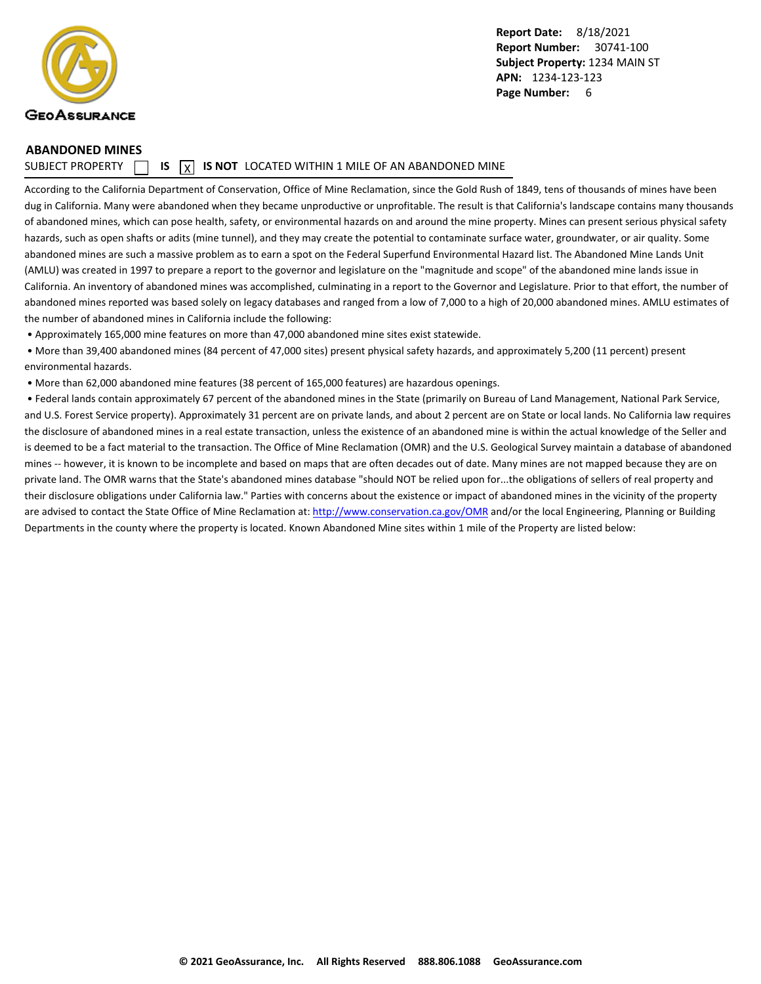<span id="page-7-0"></span>

#### **ABANDONED MINES**

SUBJECT PROPERTY  $\Box$  **IS**  $\overline{X}$  **IS NOT** LOCATED WITHIN 1 MILE OF AN ABANDONED MINE

According to the California Department of Conservation, Office of Mine Reclamation, since the Gold Rush of 1849, tens of thousands of mines have been dug in California. Many were abandoned when they became unproductive or unprofitable. The result is that California's landscape contains many thousands of abandoned mines, which can pose health, safety, or environmental hazards on and around the mine property. Mines can present serious physical safety hazards, such as open shafts or adits (mine tunnel), and they may create the potential to contaminate surface water, groundwater, or air quality. Some abandoned mines are such a massive problem as to earn a spot on the Federal Superfund Environmental Hazard list. The Abandoned Mine Lands Unit (AMLU) was created in 1997 to prepare a report to the governor and legislature on the "magnitude and scope" of the abandoned mine lands issue in California. An inventory of abandoned mines was accomplished, culminating in a report to the Governor and Legislature. Prior to that effort, the number of abandoned mines reported was based solely on legacy databases and ranged from a low of 7,000 to a high of 20,000 abandoned mines. AMLU estimates of the number of abandoned mines in California include the following:

• Approximately 165,000 mine features on more than 47,000 abandoned mine sites exist statewide.

 • More than 39,400 abandoned mines (84 percent of 47,000 sites) present physical safety hazards, and approximately 5,200 (11 percent) present environmental hazards.

• More than 62,000 abandoned mine features (38 percent of 165,000 features) are hazardous openings.

 • Federal lands contain approximately 67 percent of the abandoned mines in the State (primarily on Bureau of Land Management, National Park Service, and U.S. Forest Service property). Approximately 31 percent are on private lands, and about 2 percent are on State or local lands. No California law requires the disclosure of abandoned mines in a real estate transaction, unless the existence of an abandoned mine is within the actual knowledge of the Seller and is deemed to be a fact material to the transaction. The Office of Mine Reclamation (OMR) and the U.S. Geological Survey maintain a database of abandoned mines -- however, it is known to be incomplete and based on maps that are often decades out of date. Many mines are not mapped because they are on private land. The OMR warns that the State's abandoned mines database "should NOT be relied upon for...the obligations of sellers of real property and their disclosure obligations under California law." Parties with concerns about the existence or impact of abandoned mines in the vicinity of the property are advised to contact the State Office of Mine Reclamation at: [http://www.conservation.ca.gov/OMR](http://www.conservation.ca.gov/OMR") and/or the local Engineering, Planning or Building Departments in the county where the property is located. Known Abandoned Mine sites within 1 mile of the Property are listed below: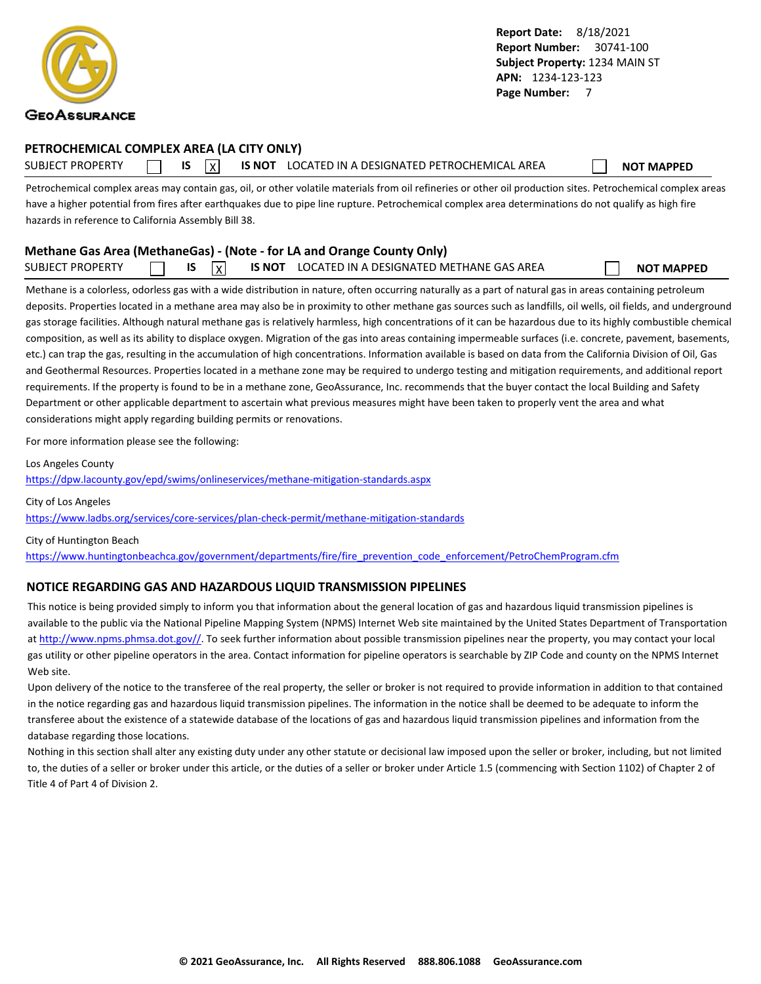<span id="page-8-0"></span>

#### **PETROCHEMICAL COMPLEX AREA (LA CITY ONLY)**

SUBJECT PROPERTY **IS** IS **INOT LOCATED IN A DESIGNATED PETROCHEMICAL AREA NOT MAPPED** 

Petrochemical complex areas may contain gas, oil, or other volatile materials from oil refineries or other oil production sites. Petrochemical complex areas have a higher potential from fires after earthquakes due to pipe line rupture. Petrochemical complex area determinations do not qualify as high fire hazards in reference to California Assembly Bill 38.

#### **Methane Gas Area (MethaneGas) - (Note - for LA and Orange County Only)**

| <b>SUBJECT PROPERTY</b> |  |  | $\sqrt{ }$ | <b>IS NOT</b> | LOCATED IN A DESIGNATED METHANE GAS AREA |  | <b>NOT MAPPED</b> |
|-------------------------|--|--|------------|---------------|------------------------------------------|--|-------------------|
|-------------------------|--|--|------------|---------------|------------------------------------------|--|-------------------|

Methane is a colorless, odorless gas with a wide distribution in nature, often occurring naturally as a part of natural gas in areas containing petroleum deposits. Properties located in a methane area may also be in proximity to other methane gas sources such as landfills, oil wells, oil fields, and underground gas storage facilities. Although natural methane gas is relatively harmless, high concentrations of it can be hazardous due to its highly combustible chemical composition, as well as its ability to displace oxygen. Migration of the gas into areas containing impermeable surfaces (i.e. concrete, pavement, basements, etc.) can trap the gas, resulting in the accumulation of high concentrations. Information available is based on data from the California Division of Oil, Gas and Geothermal Resources. Properties located in a methane zone may be required to undergo testing and mitigation requirements, and additional report requirements. If the property is found to be in a methane zone, GeoAssurance, Inc. recommends that the buyer contact the local Building and Safety Department or other applicable department to ascertain what previous measures might have been taken to properly vent the area and what considerations might apply regarding building permits or renovations.

For more information please see the following:

Los Angeles County

<https://dpw.lacounty.gov/epd/swims/onlineservices/methane-mitigation-standards.aspx>

City of Los Angeles <https://www.ladbs.org/services/core-services/plan-check-permit/methane-mitigation-standards>

City of Huntington Beach [https://www.huntingtonbeachca.gov/government/departments/fire/fire\\_prevention\\_code\\_enforcement/PetroChemProgram.cfm](https://www.huntingtonbeachca.gov/government/departments/fire/fire_prevention_code_enforcement/PetroChemProgram.cfm)

#### **NOTICE REGARDING GAS AND HAZARDOUS LIQUID TRANSMISSION PIPELINES**

This notice is being provided simply to inform you that information about the general location of gas and hazardous liquid transmission pipelines is available to the public via the National Pipeline Mapping System (NPMS) Internet Web site maintained by the United States Department of Transportation at [http://www.npms.phmsa.dot.gov//.](http://www.npms.phmsa.dot.gov/) To seek further information about possible transmission pipelines near the property, you may contact your local gas utility or other pipeline operators in the area. Contact information for pipeline operators is searchable by ZIP Code and county on the NPMS Internet Web site.

Upon delivery of the notice to the transferee of the real property, the seller or broker is not required to provide information in addition to that contained in the notice regarding gas and hazardous liquid transmission pipelines. The information in the notice shall be deemed to be adequate to inform the transferee about the existence of a statewide database of the locations of gas and hazardous liquid transmission pipelines and information from the database regarding those locations.

Nothing in this section shall alter any existing duty under any other statute or decisional law imposed upon the seller or broker, including, but not limited to, the duties of a seller or broker under this article, or the duties of a seller or broker under Article 1.5 (commencing with Section 1102) of Chapter 2 of Title 4 of Part 4 of Division 2.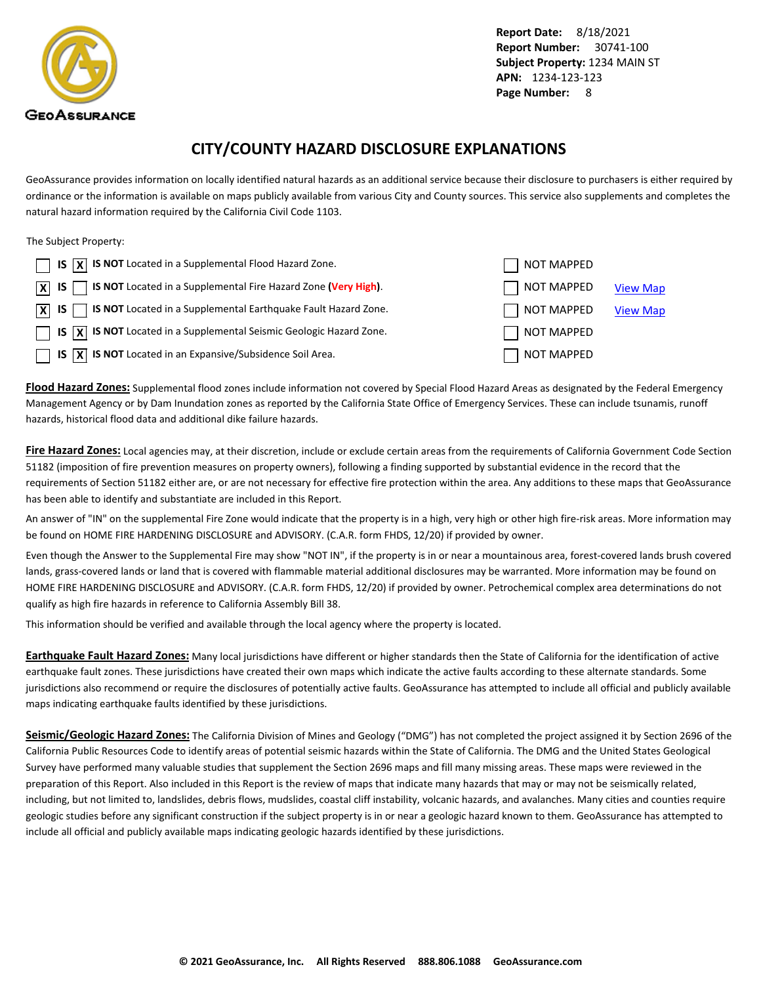<span id="page-9-0"></span>

### **CITY/COUNTY HAZARD DISCLOSURE EXPLANATIONS**

GeoAssurance provides information on locally identified natural hazards as an additional service because their disclosure to purchasers is either required by ordinance or the information is available on maps publicly available from various City and County sources. This service also supplements and completes the natural hazard information required by the California Civil Code 1103.

#### The Subject Property:

| $\Box$ IS $\overline{X}$ IS NOT Located in a Supplemental Flood Hazard Zone.                                 | <b>NOT MAPPED</b> |                 |
|--------------------------------------------------------------------------------------------------------------|-------------------|-----------------|
| <b>S NOT</b> Located in a Supplemental Fire Hazard Zone (Very High).<br>$ X $ IS                             | NOT MAPPED        | <b>View Map</b> |
| $\boxed{\mathsf{X}}$ IS $\boxed{\phantom{1}}$ IS NOT Located in a Supplemental Earthquake Fault Hazard Zone. | NOT MAPPED        | <b>View Map</b> |
| $\Box$ IS $\overline{X}$ IS NOT Located in a Supplemental Seismic Geologic Hazard Zone.                      | NOT MAPPED        |                 |
| $\Box$ IS $\overline{X}$ IS NOT Located in an Expansive/Subsidence Soil Area.                                | <b>NOT MAPPED</b> |                 |

**Flood Hazard Zones:** Supplemental flood zones include information not covered by Special Flood Hazard Areas as designated by the Federal Emergency Management Agency or by Dam Inundation zones as reported by the California State Office of Emergency Services. These can include tsunamis, runoff hazards, historical flood data and additional dike failure hazards.

**Fire Hazard Zones:** Local agencies may, at their discretion, include or exclude certain areas from the requirements of California Government Code Section 51182 (imposition of fire prevention measures on property owners), following a finding supported by substantial evidence in the record that the requirements of Section 51182 either are, or are not necessary for effective fire protection within the area. Any additions to these maps that GeoAssurance has been able to identify and substantiate are included in this Report.

An answer of "IN" on the supplemental Fire Zone would indicate that the property is in a high, very high or other high fire-risk areas. More information may be found on HOME FIRE HARDENING DISCLOSURE and ADVISORY. (C.A.R. form FHDS, 12/20) if provided by owner.

Even though the Answer to the Supplemental Fire may show "NOT IN", if the property is in or near a mountainous area, forest-covered lands brush covered lands, grass-covered lands or land that is covered with flammable material additional disclosures may be warranted. More information may be found on HOME FIRE HARDENING DISCLOSURE and ADVISORY. (C.A.R. form FHDS, 12/20) if provided by owner. Petrochemical complex area determinations do not qualify as high fire hazards in reference to California Assembly Bill 38.

This information should be verified and available through the local agency where the property is located.

**Earthquake Fault Hazard Zones:** Many local jurisdictions have different or higher standards then the State of California for the identification of active earthquake fault zones. These jurisdictions have created their own maps which indicate the active faults according to these alternate standards. Some jurisdictions also recommend or require the disclosures of potentially active faults. GeoAssurance has attempted to include all official and publicly available maps indicating earthquake faults identified by these jurisdictions.

**Seismic/Geologic Hazard Zones:** The California Division of Mines and Geology ("DMG") has not completed the project assigned it by Section 2696 of the California Public Resources Code to identify areas of potential seismic hazards within the State of California. The DMG and the United States Geological Survey have performed many valuable studies that supplement the Section 2696 maps and fill many missing areas. These maps were reviewed in the preparation of this Report. Also included in this Report is the review of maps that indicate many hazards that may or may not be seismically related, including, but not limited to, landslides, debris flows, mudslides, coastal cliff instability, volcanic hazards, and avalanches. Many cities and counties require geologic studies before any significant construction if the subject property is in or near a geologic hazard known to them. GeoAssurance has attempted to include all official and publicly available maps indicating geologic hazards identified by these jurisdictions.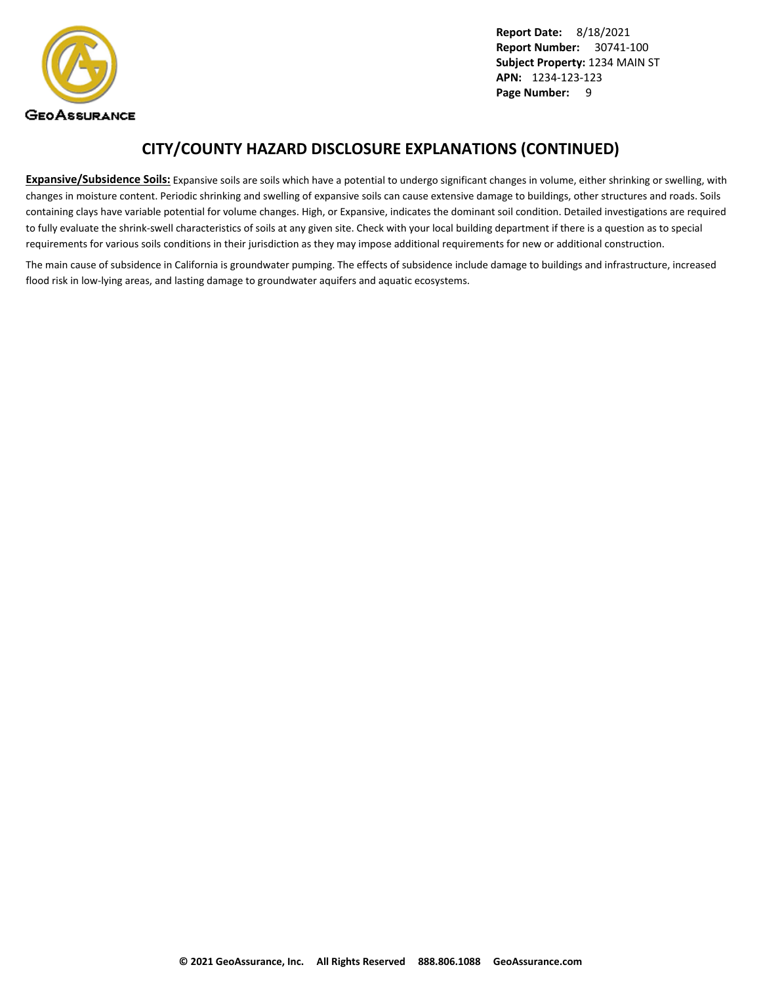

### **CITY/COUNTY HAZARD DISCLOSURE EXPLANATIONS (CONTINUED)**

**Expansive/Subsidence Soils:** Expansive soils are soils which have a potential to undergo significant changes in volume, either shrinking or swelling, with changes in moisture content. Periodic shrinking and swelling of expansive soils can cause extensive damage to buildings, other structures and roads. Soils containing clays have variable potential for volume changes. High, or Expansive, indicates the dominant soil condition. Detailed investigations are required to fully evaluate the shrink-swell characteristics of soils at any given site. Check with your local building department if there is a question as to special requirements for various soils conditions in their jurisdiction as they may impose additional requirements for new or additional construction.

The main cause of subsidence in California is groundwater pumping. The effects of subsidence include damage to buildings and infrastructure, increased flood risk in low-lying areas, and lasting damage to groundwater aquifers and aquatic ecosystems.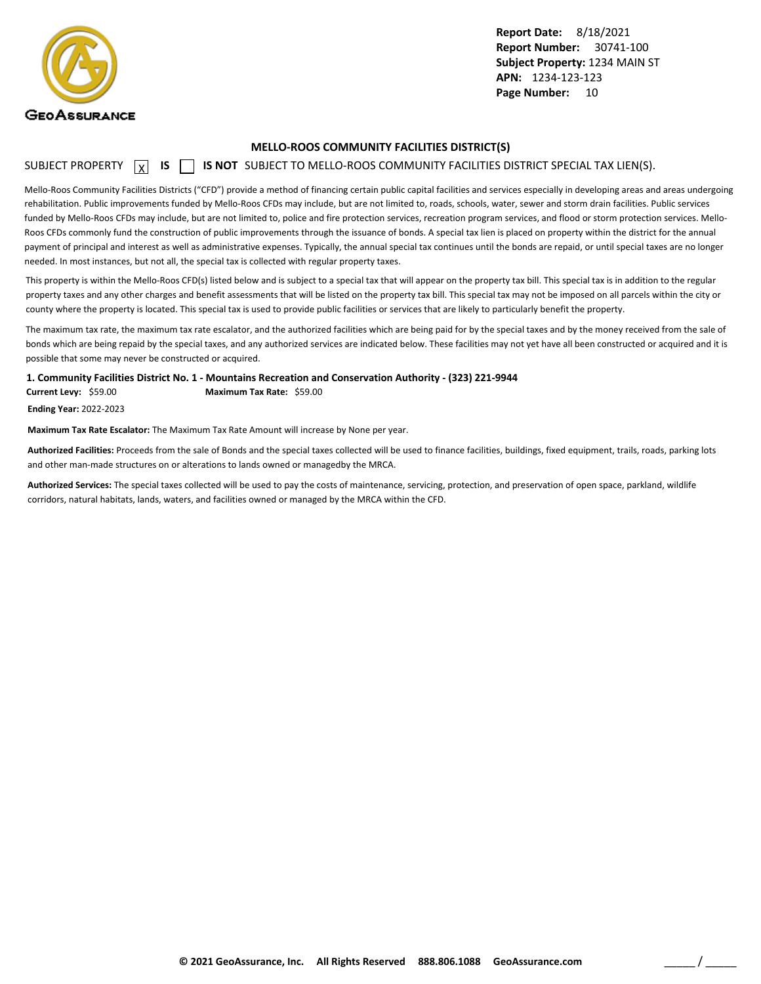<span id="page-11-0"></span>

#### **MELLO-ROOS COMMUNITY FACILITIES DISTRICT(S)**

#### SUBJECT PROPERTY **X** IS **S** IS NOT SUBJECT TO MELLO-ROOS COMMUNITY FACILITIES DISTRICT SPECIAL TAX LIEN(S).

Mello-Roos Community Facilities Districts ("CFD") provide a method of financing certain public capital facilities and services especially in developing areas and areas undergoing rehabilitation. Public improvements funded by Mello-Roos CFDs may include, but are not limited to, roads, schools, water, sewer and storm drain facilities. Public services funded by Mello-Roos CFDs may include, but are not limited to, police and fire protection services, recreation program services, and flood or storm protection services. Mello-Roos CFDs commonly fund the construction of public improvements through the issuance of bonds. A special tax lien is placed on property within the district for the annual payment of principal and interest as well as administrative expenses. Typically, the annual special tax continues until the bonds are repaid, or until special taxes are no longer needed. In most instances, but not all, the special tax is collected with regular property taxes.

This property is within the Mello-Roos CFD(s) listed below and is subject to a special tax that will appear on the property tax bill. This special tax is in addition to the regular property taxes and any other charges and benefit assessments that will be listed on the property tax bill. This special tax may not be imposed on all parcels within the city or county where the property is located. This special tax is used to provide public facilities or services that are likely to particularly benefit the property.

The maximum tax rate, the maximum tax rate escalator, and the authorized facilities which are being paid for by the special taxes and by the money received from the sale of bonds which are being repaid by the special taxes, and any authorized services are indicated below. These facilities may not yet have all been constructed or acquired and it is possible that some may never be constructed or acquired.

**1. Community Facilities District No. 1 - Mountains Recreation and Conservation Authority - (323) 221-9944**

**Current Levy:** \$59.00 **Maximum Tax Rate:** \$59.00

**Ending Year:** 2022-2023

**Maximum Tax Rate Escalator:** The Maximum Tax Rate Amount will increase by None per year.

**Authorized Facilities:** Proceeds from the sale of Bonds and the special taxes collected will be used to finance facilities, buildings, fixed equipment, trails, roads, parking lots and other man-made structures on or alterations to lands owned or managedby the MRCA.

**Authorized Services:** The special taxes collected will be used to pay the costs of maintenance, servicing, protection, and preservation of open space, parkland, wildlife corridors, natural habitats, lands, waters, and facilities owned or managed by the MRCA within the CFD.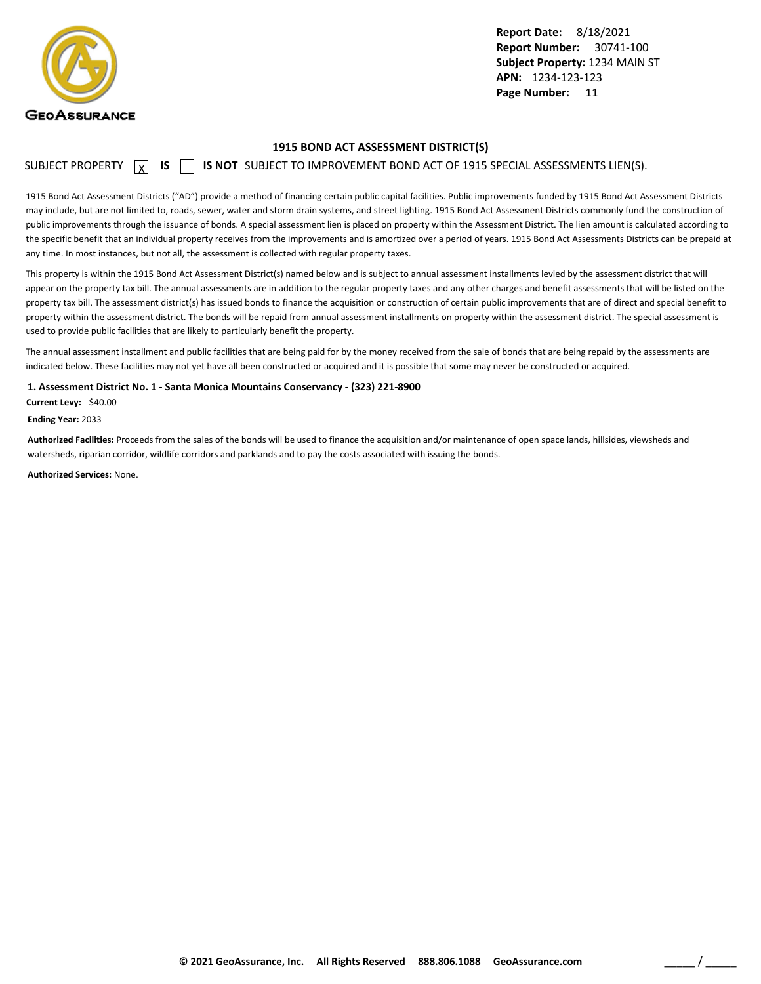<span id="page-12-0"></span>

#### **1915 BOND ACT ASSESSMENT DISTRICT(S)**

SUBJECT PROPERTY  $\boxed{\chi}$  **IS**  $\boxed{\phantom{\chi}}$  **IS NOT** SUBJECT TO IMPROVEMENT BOND ACT OF 1915 SPECIAL ASSESSMENTS LIEN(S).

1915 Bond Act Assessment Districts ("AD") provide a method of financing certain public capital facilities. Public improvements funded by 1915 Bond Act Assessment Districts may include, but are not limited to, roads, sewer, water and storm drain systems, and street lighting. 1915 Bond Act Assessment Districts commonly fund the construction of public improvements through the issuance of bonds. A special assessment lien is placed on property within the Assessment District. The lien amount is calculated according to the specific benefit that an individual property receives from the improvements and is amortized over a period of years. 1915 Bond Act Assessments Districts can be prepaid at any time. In most instances, but not all, the assessment is collected with regular property taxes.

This property is within the 1915 Bond Act Assessment District(s) named below and is subject to annual assessment installments levied by the assessment district that will appear on the property tax bill. The annual assessments are in addition to the regular property taxes and any other charges and benefit assessments that will be listed on the property tax bill. The assessment district(s) has issued bonds to finance the acquisition or construction of certain public improvements that are of direct and special benefit to property within the assessment district. The bonds will be repaid from annual assessment installments on property within the assessment district. The special assessment is used to provide public facilities that are likely to particularly benefit the property.

The annual assessment installment and public facilities that are being paid for by the money received from the sale of bonds that are being repaid by the assessments are indicated below. These facilities may not yet have all been constructed or acquired and it is possible that some may never be constructed or acquired.

**1. Assessment District No. 1 - Santa Monica Mountains Conservancy - (323) 221-8900**

**Current Levy:** \$40.00

**Ending Year:** 2033

**Authorized Facilities:** Proceeds from the sales of the bonds will be used to finance the acquisition and/or maintenance of open space lands, hillsides, viewsheds and watersheds, riparian corridor, wildlife corridors and parklands and to pay the costs associated with issuing the bonds.

**Authorized Services:** None.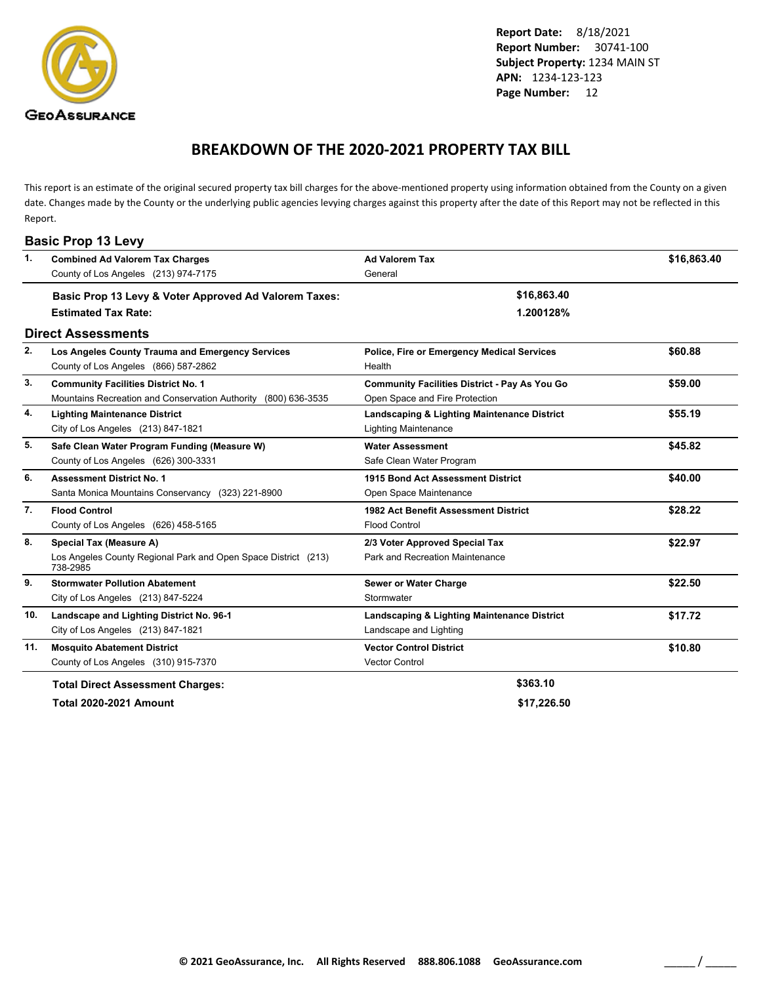<span id="page-13-0"></span>

### **BREAKDOWN OF THE 2020-2021 PROPERTY TAX BILL**

This report is an estimate of the original secured property tax bill charges for the above-mentioned property using information obtained from the County on a given date. Changes made by the County or the underlying public agencies levying charges against this property after the date of this Report may not be reflected in this Report.

|     | <b>Basic Prop 13 Levy</b>                                                  |                                                   |             |
|-----|----------------------------------------------------------------------------|---------------------------------------------------|-------------|
| 1.  | <b>Combined Ad Valorem Tax Charges</b>                                     | <b>Ad Valorem Tax</b>                             | \$16,863.40 |
|     | County of Los Angeles (213) 974-7175                                       | General                                           |             |
|     | Basic Prop 13 Levy & Voter Approved Ad Valorem Taxes:                      | \$16,863.40                                       |             |
|     | <b>Estimated Tax Rate:</b>                                                 | 1.200128%                                         |             |
|     | <b>Direct Assessments</b>                                                  |                                                   |             |
| 2.  | Los Angeles County Trauma and Emergency Services                           | <b>Police, Fire or Emergency Medical Services</b> | \$60.88     |
|     | County of Los Angeles (866) 587-2862                                       | Health                                            |             |
| 3.  | <b>Community Facilities District No. 1</b>                                 | Community Facilities District - Pay As You Go     | \$59.00     |
|     | Mountains Recreation and Conservation Authority (800) 636-3535             | Open Space and Fire Protection                    |             |
| 4.  | <b>Lighting Maintenance District</b>                                       | Landscaping & Lighting Maintenance District       | \$55.19     |
|     | City of Los Angeles (213) 847-1821                                         | <b>Lighting Maintenance</b>                       |             |
| 5.  | Safe Clean Water Program Funding (Measure W)                               | <b>Water Assessment</b>                           | \$45.82     |
|     | County of Los Angeles (626) 300-3331                                       | Safe Clean Water Program                          |             |
| 6.  | <b>Assessment District No. 1</b>                                           | 1915 Bond Act Assessment District                 | \$40.00     |
|     | Santa Monica Mountains Conservancy (323) 221-8900                          | Open Space Maintenance                            |             |
| 7.  | <b>Flood Control</b>                                                       | 1982 Act Benefit Assessment District              | \$28.22     |
|     | County of Los Angeles (626) 458-5165                                       | <b>Flood Control</b>                              |             |
| 8.  | Special Tax (Measure A)                                                    | 2/3 Voter Approved Special Tax                    | \$22.97     |
|     | Los Angeles County Regional Park and Open Space District (213)<br>738-2985 | Park and Recreation Maintenance                   |             |
| 9.  | <b>Stormwater Pollution Abatement</b>                                      | Sewer or Water Charge                             | \$22.50     |
|     | City of Los Angeles (213) 847-5224                                         | Stormwater                                        |             |
| 10. | Landscape and Lighting District No. 96-1                                   | Landscaping & Lighting Maintenance District       | \$17.72     |
|     | City of Los Angeles (213) 847-1821                                         | Landscape and Lighting                            |             |
| 11. | <b>Mosquito Abatement District</b>                                         | <b>Vector Control District</b>                    | \$10.80     |
|     | County of Los Angeles (310) 915-7370                                       | <b>Vector Control</b>                             |             |
|     | <b>Total Direct Assessment Charges:</b>                                    | \$363.10                                          |             |

**Total 2020-2021 Amount \$17,226.50**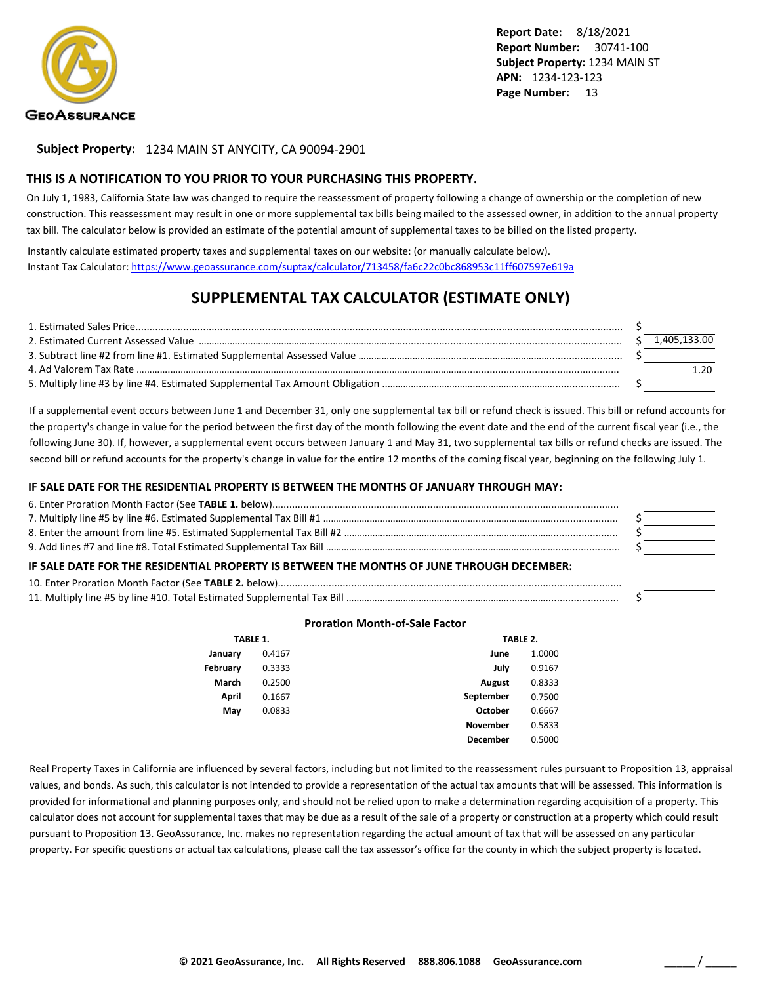

**Subject Property:** 1234 MAIN ST ANYCITY, CA 90094-2901

#### **THIS IS A NOTIFICATION TO YOU PRIOR TO YOUR PURCHASING THIS PROPERTY.**

On July 1, 1983, California State law was changed to require the reassessment of property following a change of ownership or the completion of new construction. This reassessment may result in one or more supplemental tax bills being mailed to the assessed owner, in addition to the annual property tax bill. The calculator below is provided an estimate of the potential amount of supplemental taxes to be billed on the listed property.

Instantly calculate estimated property taxes and supplemental taxes on our website: (or manually calculate below). Instant Tax Calculator: <https://www.geoassurance.com/suptax/calculator/713458/fa6c22c0bc868953c11ff607597e619a>

### **SUPPLEMENTAL TAX CALCULATOR (ESTIMATE ONLY)**

|  | 1.405.133.00 |
|--|--------------|
|  |              |
|  |              |
|  |              |

If a supplemental event occurs between June 1 and December 31, only one supplemental tax bill or refund check is issued. This bill or refund accounts for the property's change in value for the period between the first day of the month following the event date and the end of the current fiscal year (i.e., the following June 30). If, however, a supplemental event occurs between January 1 and May 31, two supplemental tax bills or refund checks are issued. The second bill or refund accounts for the property's change in value for the entire 12 months of the coming fiscal year, beginning on the following July 1.

#### **IF SALE DATE FOR THE RESIDENTIAL PROPERTY IS BETWEEN THE MONTHS OF JANUARY THROUGH MAY:**

| IF SALE DATE FOR THE RESIDENTIAL PROPERTY IS BETWEEN THE MONTHS OF JUNE THROUGH DECEMBER: |  |
|-------------------------------------------------------------------------------------------|--|
|                                                                                           |  |
|                                                                                           |  |

#### **Proration Month-of-Sale Factor**

| TABLE 1. |        |                 | TABLE 2. |  |
|----------|--------|-----------------|----------|--|
| January  | 0.4167 | June            | 1.0000   |  |
| February | 0.3333 | July            | 0.9167   |  |
| March    | 0.2500 | <b>August</b>   | 0.8333   |  |
| April    | 0.1667 | September       | 0.7500   |  |
| May      | 0.0833 | October         | 0.6667   |  |
|          |        | <b>November</b> | 0.5833   |  |
|          |        | <b>December</b> | 0.5000   |  |

Real Property Taxes in California are influenced by several factors, including but not limited to the reassessment rules pursuant to Proposition 13, appraisal values, and bonds. As such, this calculator is not intended to provide a representation of the actual tax amounts that will be assessed. This information is provided for informational and planning purposes only, and should not be relied upon to make a determination regarding acquisition of a property. This calculator does not account for supplemental taxes that may be due as a result of the sale of a property or construction at a property which could result pursuant to Proposition 13. GeoAssurance, Inc. makes no representation regarding the actual amount of tax that will be assessed on any particular property. For specific questions or actual tax calculations, please call the tax assessor's office for the county in which the subject property is located.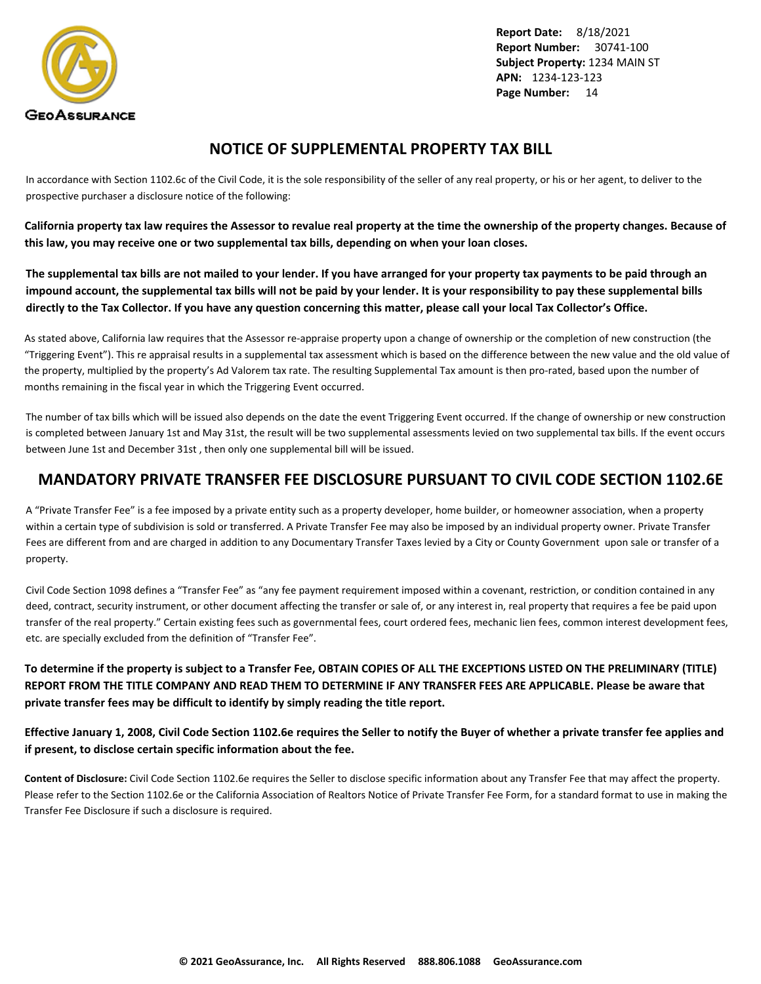<span id="page-15-0"></span>

### **NOTICE OF SUPPLEMENTAL PROPERTY TAX BILL**

In accordance with Section 1102.6c of the Civil Code, it is the sole responsibility of the seller of any real property, or his or her agent, to deliver to the prospective purchaser a disclosure notice of the following:

**California property tax law requires the Assessor to revalue real property at the time the ownership of the property changes. Because of this law, you may receive one or two supplemental tax bills, depending on when your loan closes.**

**The supplemental tax bills are not mailed to your lender. If you have arranged for your property tax payments to be paid through an impound account, the supplemental tax bills will not be paid by your lender. It is your responsibility to pay these supplemental bills directly to the Tax Collector. If you have any question concerning this matter, please call your local Tax Collector's Office.**

As stated above, California law requires that the Assessor re-appraise property upon a change of ownership or the completion of new construction (the "Triggering Event"). This re appraisal results in a supplemental tax assessment which is based on the difference between the new value and the old value of the property, multiplied by the property's Ad Valorem tax rate. The resulting Supplemental Tax amount is then pro-rated, based upon the number of months remaining in the fiscal year in which the Triggering Event occurred.

The number of tax bills which will be issued also depends on the date the event Triggering Event occurred. If the change of ownership or new construction is completed between January 1st and May 31st, the result will be two supplemental assessments levied on two supplemental tax bills. If the event occurs between June 1st and December 31st , then only one supplemental bill will be issued.

### **MANDATORY PRIVATE TRANSFER FEE DISCLOSURE PURSUANT TO CIVIL CODE SECTION 1102.6E**

A "Private Transfer Fee" is a fee imposed by a private entity such as a property developer, home builder, or homeowner association, when a property within a certain type of subdivision is sold or transferred. A Private Transfer Fee may also be imposed by an individual property owner. Private Transfer Fees are different from and are charged in addition to any Documentary Transfer Taxes levied by a City or County Government upon sale or transfer of a property.

Civil Code Section 1098 defines a "Transfer Fee" as "any fee payment requirement imposed within a covenant, restriction, or condition contained in any deed, contract, security instrument, or other document affecting the transfer or sale of, or any interest in, real property that requires a fee be paid upon transfer of the real property." Certain existing fees such as governmental fees, court ordered fees, mechanic lien fees, common interest development fees, etc. are specially excluded from the definition of "Transfer Fee".

**To determine if the property is subject to a Transfer Fee, OBTAIN COPIES OF ALL THE EXCEPTIONS LISTED ON THE PRELIMINARY (TITLE) REPORT FROM THE TITLE COMPANY AND READ THEM TO DETERMINE IF ANY TRANSFER FEES ARE APPLICABLE. Please be aware that private transfer fees may be difficult to identify by simply reading the title report.**

**Effective January 1, 2008, Civil Code Section 1102.6e requires the Seller to notify the Buyer of whether a private transfer fee applies and if present, to disclose certain specific information about the fee.**

**Content of Disclosure:** Civil Code Section 1102.6e requires the Seller to disclose specific information about any Transfer Fee that may affect the property. Please refer to the Section 1102.6e or the California Association of Realtors Notice of Private Transfer Fee Form, for a standard format to use in making the Transfer Fee Disclosure if such a disclosure is required.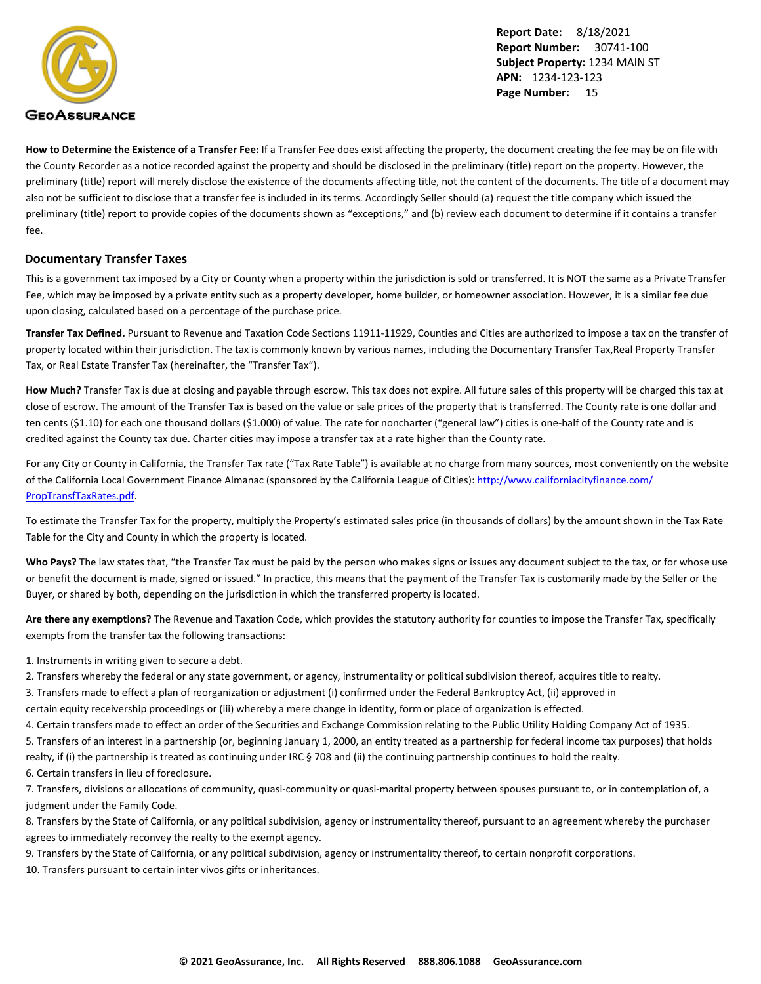

**How to Determine the Existence of a Transfer Fee:** If a Transfer Fee does exist affecting the property, the document creating the fee may be on file with the County Recorder as a notice recorded against the property and should be disclosed in the preliminary (title) report on the property. However, the preliminary (title) report will merely disclose the existence of the documents affecting title, not the content of the documents. The title of a document may also not be sufficient to disclose that a transfer fee is included in its terms. Accordingly Seller should (a) request the title company which issued the preliminary (title) report to provide copies of the documents shown as "exceptions," and (b) review each document to determine if it contains a transfer fee.

#### **Documentary Transfer Taxes**

This is a government tax imposed by a City or County when a property within the jurisdiction is sold or transferred. It is NOT the same as a Private Transfer Fee, which may be imposed by a private entity such as a property developer, home builder, or homeowner association. However, it is a similar fee due upon closing, calculated based on a percentage of the purchase price.

**Transfer Tax Defined.** Pursuant to Revenue and Taxation Code Sections 11911-11929, Counties and Cities are authorized to impose a tax on the transfer of property located within their jurisdiction. The tax is commonly known by various names, including the Documentary Transfer Tax,Real Property Transfer Tax, or Real Estate Transfer Tax (hereinafter, the "Transfer Tax").

**How Much?** Transfer Tax is due at closing and payable through escrow. This tax does not expire. All future sales of this property will be charged this tax at close of escrow. The amount of the Transfer Tax is based on the value or sale prices of the property that is transferred. The County rate is one dollar and ten cents (\$1.10) for each one thousand dollars (\$1.000) of value. The rate for noncharter ("general law") cities is one-half of the County rate and is credited against the County tax due. Charter cities may impose a transfer tax at a rate higher than the County rate.

For any City or County in California, the Transfer Tax rate ("Tax Rate Table") is available at no charge from many sources, most conveniently on the website of the California Local Government Finance Almanac (sponsored by the California League of Cities): [http://www.californiacityfinance.com/](http://www.californiacityfinance.com/PropTransfTaxRates.pdf) [PropTransfTaxRates.pdf](http://www.californiacityfinance.com/PropTransfTaxRates.pdf).

To estimate the Transfer Tax for the property, multiply the Property's estimated sales price (in thousands of dollars) by the amount shown in the Tax Rate Table for the City and County in which the property is located.

Who Pays? The law states that, "the Transfer Tax must be paid by the person who makes signs or issues any document subject to the tax, or for whose use or benefit the document is made, signed or issued." In practice, this means that the payment of the Transfer Tax is customarily made by the Seller or the Buyer, or shared by both, depending on the jurisdiction in which the transferred property is located.

**Are there any exemptions?** The Revenue and Taxation Code, which provides the statutory authority for counties to impose the Transfer Tax, specifically exempts from the transfer tax the following transactions:

1. Instruments in writing given to secure a debt.

2. Transfers whereby the federal or any state government, or agency, instrumentality or political subdivision thereof, acquires title to realty.

3. Transfers made to effect a plan of reorganization or adjustment (i) confirmed under the Federal Bankruptcy Act, (ii) approved in

certain equity receivership proceedings or (iii) whereby a mere change in identity, form or place of organization is effected.

4. Certain transfers made to effect an order of the Securities and Exchange Commission relating to the Public Utility Holding Company Act of 1935.

5. Transfers of an interest in a partnership (or, beginning January 1, 2000, an entity treated as a partnership for federal income tax purposes) that holds realty, if (i) the partnership is treated as continuing under IRC § 708 and (ii) the continuing partnership continues to hold the realty.

6. Certain transfers in lieu of foreclosure.

7. Transfers, divisions or allocations of community, quasi-community or quasi-marital property between spouses pursuant to, or in contemplation of, a judgment under the Family Code.

8. Transfers by the State of California, or any political subdivision, agency or instrumentality thereof, pursuant to an agreement whereby the purchaser agrees to immediately reconvey the realty to the exempt agency.

9. Transfers by the State of California, or any political subdivision, agency or instrumentality thereof, to certain nonprofit corporations.

10. Transfers pursuant to certain inter vivos gifts or inheritances.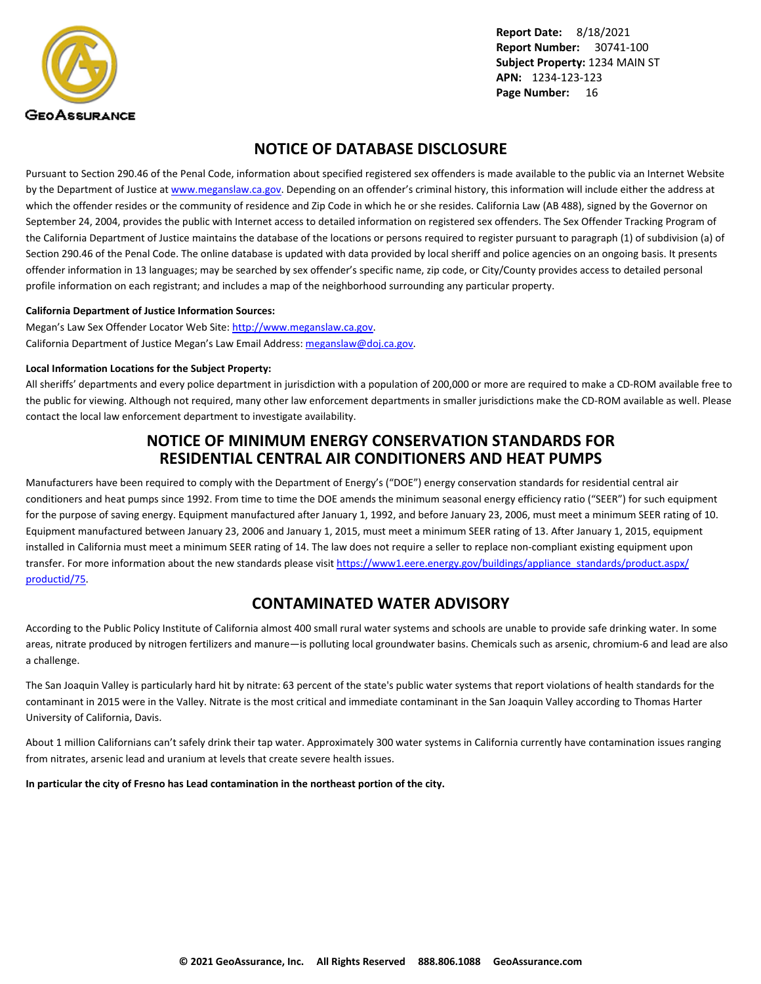<span id="page-17-0"></span>

### **NOTICE OF DATABASE DISCLOSURE**

Pursuant to Section 290.46 of the Penal Code, information about specified registered sex offenders is made available to the public via an Internet Website by the Department of Justice at <www.meganslaw.ca.gov>. Depending on an offender's criminal history, this information will include either the address at which the offender resides or the community of residence and Zip Code in which he or she resides. California Law (AB 488), signed by the Governor on September 24, 2004, provides the public with Internet access to detailed information on registered sex offenders. The Sex Offender Tracking Program of the California Department of Justice maintains the database of the locations or persons required to register pursuant to paragraph (1) of subdivision (a) of Section 290.46 of the Penal Code. The online database is updated with data provided by local sheriff and police agencies on an ongoing basis. It presents offender information in 13 languages; may be searched by sex offender's specific name, zip code, or City/County provides access to detailed personal profile information on each registrant; and includes a map of the neighborhood surrounding any particular property.

#### **California Department of Justice Information Sources:**

Megan's Law Sex Offender Locator Web Site: <http://www.meganslaw.ca.gov>. California Department of Justice Megan's Law Email Address: [meganslaw@doj.ca.gov](mailto:meganslaw@doj.ca.gov).

#### **Local Information Locations for the Subject Property:**

All sheriffs' departments and every police department in jurisdiction with a population of 200,000 or more are required to make a CD-ROM available free to the public for viewing. Although not required, many other law enforcement departments in smaller jurisdictions make the CD-ROM available as well. Please contact the local law enforcement department to investigate availability.

#### **NOTICE OF MINIMUM ENERGY CONSERVATION STANDARDS FOR RESIDENTIAL CENTRAL AIR CONDITIONERS AND HEAT PUMPS**

Manufacturers have been required to comply with the Department of Energy's ("DOE") energy conservation standards for residential central air conditioners and heat pumps since 1992. From time to time the DOE amends the minimum seasonal energy efficiency ratio ("SEER") for such equipment for the purpose of saving energy. Equipment manufactured after January 1, 1992, and before January 23, 2006, must meet a minimum SEER rating of 10. Equipment manufactured between January 23, 2006 and January 1, 2015, must meet a minimum SEER rating of 13. After January 1, 2015, equipment installed in California must meet a minimum SEER rating of 14. The law does not require a seller to replace non-compliant existing equipment upon transfer. For more information about the new standards please visit [https://www1.eere.energy.gov/buildings/appliance\\_standards/product.aspx/](https://www1.eere.energy.gov/buildings/appliance_standards/product.aspx/productid/75) [productid/75.](https://www1.eere.energy.gov/buildings/appliance_standards/product.aspx/productid/75)

### **CONTAMINATED WATER ADVISORY**

According to the Public Policy Institute of California almost 400 small rural water systems and schools are unable to provide safe drinking water. In some areas, nitrate produced by nitrogen fertilizers and manure—is polluting local groundwater basins. Chemicals such as arsenic, chromium-6 and lead are also a challenge.

The San Joaquin Valley is particularly hard hit by nitrate: 63 percent of the state's public water systems that report violations of health standards for the contaminant in 2015 were in the Valley. Nitrate is the most critical and immediate contaminant in the San Joaquin Valley according to Thomas Harter University of California, Davis.

About 1 million Californians can't safely drink their tap water. Approximately 300 water systems in California currently have contamination issues ranging from nitrates, arsenic lead and uranium at levels that create severe health issues.

**In particular the city of Fresno has Lead contamination in the northeast portion of the city.**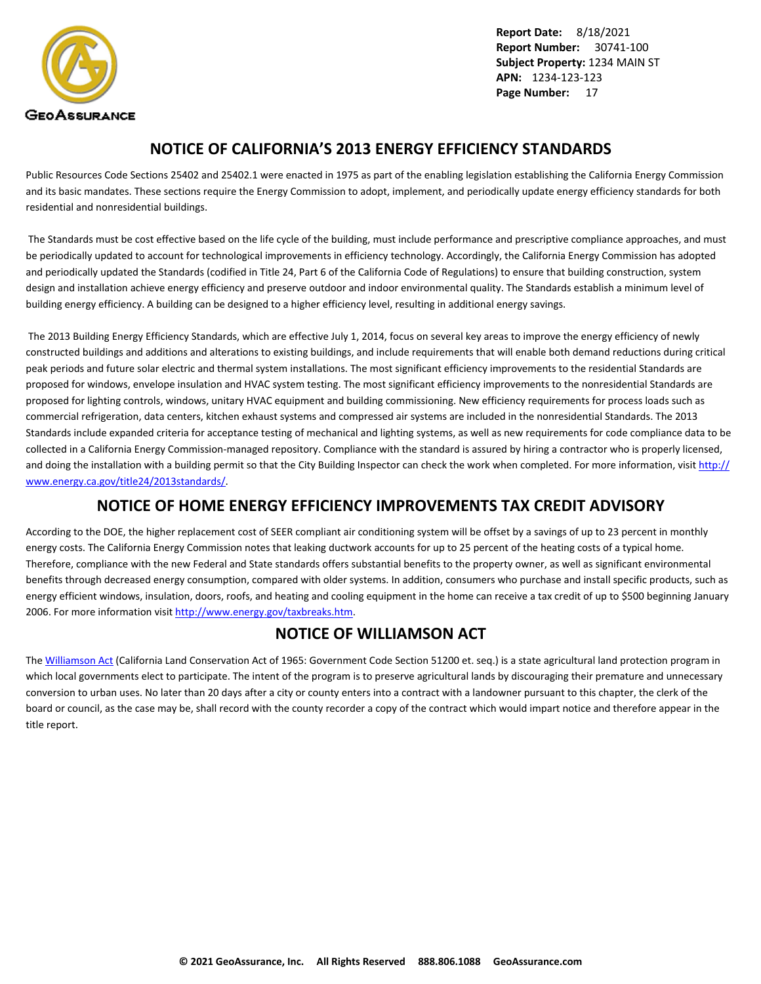<span id="page-18-0"></span>

### **NOTICE OF CALIFORNIA'S 2013 ENERGY EFFICIENCY STANDARDS**

Public Resources Code Sections 25402 and 25402.1 were enacted in 1975 as part of the enabling legislation establishing the California Energy Commission and its basic mandates. These sections require the Energy Commission to adopt, implement, and periodically update energy efficiency standards for both residential and nonresidential buildings.

 The Standards must be cost effective based on the life cycle of the building, must include performance and prescriptive compliance approaches, and must be periodically updated to account for technological improvements in efficiency technology. Accordingly, the California Energy Commission has adopted and periodically updated the Standards (codified in Title 24, Part 6 of the California Code of Regulations) to ensure that building construction, system design and installation achieve energy efficiency and preserve outdoor and indoor environmental quality. The Standards establish a minimum level of building energy efficiency. A building can be designed to a higher efficiency level, resulting in additional energy savings.

 The 2013 Building Energy Efficiency Standards, which are effective July 1, 2014, focus on several key areas to improve the energy efficiency of newly constructed buildings and additions and alterations to existing buildings, and include requirements that will enable both demand reductions during critical peak periods and future solar electric and thermal system installations. The most significant efficiency improvements to the residential Standards are proposed for windows, envelope insulation and HVAC system testing. The most significant efficiency improvements to the nonresidential Standards are proposed for lighting controls, windows, unitary HVAC equipment and building commissioning. New efficiency requirements for process loads such as commercial refrigeration, data centers, kitchen exhaust systems and compressed air systems are included in the nonresidential Standards. The 2013 Standards include expanded criteria for acceptance testing of mechanical and lighting systems, as well as new requirements for code compliance data to be collected in a California Energy Commission-managed repository. Compliance with the standard is assured by hiring a contractor who is properly licensed, and doing the installation with a building permit so that the City Building Inspector can check the work when completed. For more information, visit [http://](http://www.energy.ca.gov/title24/2013standards/) [www.energy.ca.gov/title24/2013standards/](http://www.energy.ca.gov/title24/2013standards/).

### **NOTICE OF HOME ENERGY EFFICIENCY IMPROVEMENTS TAX CREDIT ADVISORY**

According to the DOE, the higher replacement cost of SEER compliant air conditioning system will be offset by a savings of up to 23 percent in monthly energy costs. The California Energy Commission notes that leaking ductwork accounts for up to 25 percent of the heating costs of a typical home. Therefore, compliance with the new Federal and State standards offers substantial benefits to the property owner, as well as significant environmental benefits through decreased energy consumption, compared with older systems. In addition, consumers who purchase and install specific products, such as energy efficient windows, insulation, doors, roofs, and heating and cooling equipment in the home can receive a tax credit of up to \$500 beginning January 2006. For more information visit [http://www.energy.gov/taxbreaks.htm.](http://www.energy.gov/taxbreaks.htm)

### **NOTICE OF WILLIAMSON ACT**

The [Williamson Act](http://www.conservation.ca.gov/dlrp/lca) (California Land Conservation Act of 1965: Government Code Section 51200 et. seq.) is a state agricultural land protection program in which local governments elect to participate. The intent of the program is to preserve agricultural lands by discouraging their premature and unnecessary conversion to urban uses. No later than 20 days after a city or county enters into a contract with a landowner pursuant to this chapter, the clerk of the board or council, as the case may be, shall record with the county recorder a copy of the contract which would impart notice and therefore appear in the title report.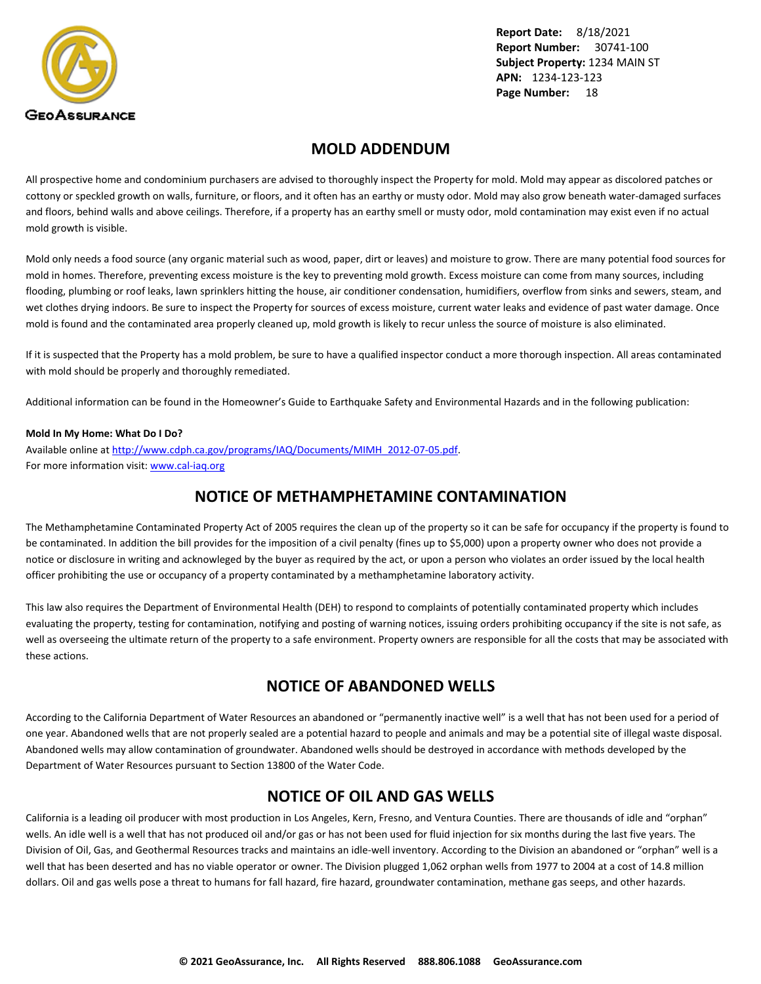<span id="page-19-0"></span>

### **MOLD ADDENDUM**

All prospective home and condominium purchasers are advised to thoroughly inspect the Property for mold. Mold may appear as discolored patches or cottony or speckled growth on walls, furniture, or floors, and it often has an earthy or musty odor. Mold may also grow beneath water-damaged surfaces and floors, behind walls and above ceilings. Therefore, if a property has an earthy smell or musty odor, mold contamination may exist even if no actual mold growth is visible.

Mold only needs a food source (any organic material such as wood, paper, dirt or leaves) and moisture to grow. There are many potential food sources for mold in homes. Therefore, preventing excess moisture is the key to preventing mold growth. Excess moisture can come from many sources, including flooding, plumbing or roof leaks, lawn sprinklers hitting the house, air conditioner condensation, humidifiers, overflow from sinks and sewers, steam, and wet clothes drying indoors. Be sure to inspect the Property for sources of excess moisture, current water leaks and evidence of past water damage. Once mold is found and the contaminated area properly cleaned up, mold growth is likely to recur unless the source of moisture is also eliminated.

If it is suspected that the Property has a mold problem, be sure to have a qualified inspector conduct a more thorough inspection. All areas contaminated with mold should be properly and thoroughly remediated.

Additional information can be found in the Homeowner's Guide to Earthquake Safety and Environmental Hazards and in the following publication:

#### **Mold In My Home: What Do I Do?**

Available online at [http://www.cdph.ca.gov/programs/IAQ/Documents/MIMH\\_2012-07-05.pdf](http://www.cdph.ca.gov/programs/IAQ/Documents/MIMH_2012-07-05.pdf). For more information visit: <www.cal-iaq.org>

### **NOTICE OF METHAMPHETAMINE CONTAMINATION**

The Methamphetamine Contaminated Property Act of 2005 requires the clean up of the property so it can be safe for occupancy if the property is found to be contaminated. In addition the bill provides for the imposition of a civil penalty (fines up to \$5,000) upon a property owner who does not provide a notice or disclosure in writing and acknowleged by the buyer as required by the act, or upon a person who violates an order issued by the local health officer prohibiting the use or occupancy of a property contaminated by a methamphetamine laboratory activity.

This law also requires the Department of Environmental Health (DEH) to respond to complaints of potentially contaminated property which includes evaluating the property, testing for contamination, notifying and posting of warning notices, issuing orders prohibiting occupancy if the site is not safe, as well as overseeing the ultimate return of the property to a safe environment. Property owners are responsible for all the costs that may be associated with these actions.

### **NOTICE OF ABANDONED WELLS**

According to the California Department of Water Resources an abandoned or "permanently inactive well" is a well that has not been used for a period of one year. Abandoned wells that are not properly sealed are a potential hazard to people and animals and may be a potential site of illegal waste disposal. Abandoned wells may allow contamination of groundwater. Abandoned wells should be destroyed in accordance with methods developed by the Department of Water Resources pursuant to Section 13800 of the Water Code.

### **NOTICE OF OIL AND GAS WELLS**

California is a leading oil producer with most production in Los Angeles, Kern, Fresno, and Ventura Counties. There are thousands of idle and "orphan" wells. An idle well is a well that has not produced oil and/or gas or has not been used for fluid injection for six months during the last five years. The Division of Oil, Gas, and Geothermal Resources tracks and maintains an idle-well inventory. According to the Division an abandoned or "orphan" well is a well that has been deserted and has no viable operator or owner. The Division plugged 1,062 orphan wells from 1977 to 2004 at a cost of 14.8 million dollars. Oil and gas wells pose a threat to humans for fall hazard, fire hazard, groundwater contamination, methane gas seeps, and other hazards.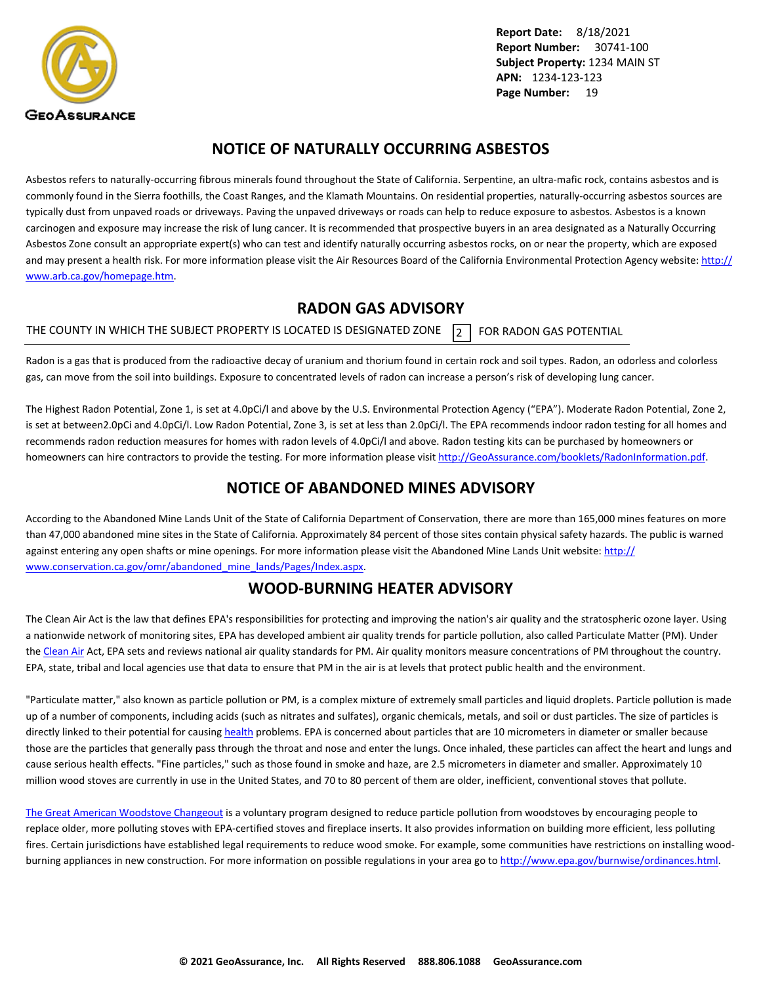<span id="page-20-0"></span>

### **NOTICE OF NATURALLY OCCURRING ASBESTOS**

Asbestos refers to naturally-occurring fibrous minerals found throughout the State of California. Serpentine, an ultra-mafic rock, contains asbestos and is commonly found in the Sierra foothills, the Coast Ranges, and the Klamath Mountains. On residential properties, naturally-occurring asbestos sources are typically dust from unpaved roads or driveways. Paving the unpaved driveways or roads can help to reduce exposure to asbestos. Asbestos is a known carcinogen and exposure may increase the risk of lung cancer. It is recommended that prospective buyers in an area designated as a Naturally Occurring Asbestos Zone consult an appropriate expert(s) who can test and identify naturally occurring asbestos rocks, on or near the property, which are exposed and may present a health risk. For more information please visit the Air Resources Board of the California Environmental Protection Agency website: [http://](http://www.arb.ca.gov/homepage.htm) [www.arb.ca.gov/homepage.htm](http://www.arb.ca.gov/homepage.htm).

### **RADON GAS ADVISORY**

THE COUNTY IN WHICH THE SUBJECT PROPERTY IS LOCATED IS DESIGNATED ZONE  $\overline{2}$  FOR RADON GAS POTENTIAL

Radon is a gas that is produced from the radioactive decay of uranium and thorium found in certain rock and soil types. Radon, an odorless and colorless gas, can move from the soil into buildings. Exposure to concentrated levels of radon can increase a person's risk of developing lung cancer.

The Highest Radon Potential, Zone 1, is set at 4.0pCi/l and above by the U.S. Environmental Protection Agency ("EPA"). Moderate Radon Potential, Zone 2, is set at between2.0pCi and 4.0pCi/l. Low Radon Potential, Zone 3, is set at less than 2.0pCi/l. The EPA recommends indoor radon testing for all homes and recommends radon reduction measures for homes with radon levels of 4.0pCi/l and above. Radon testing kits can be purchased by homeowners or homeowners can hire contractors to provide the testing. For more information please visit <http://GeoAssurance.com/booklets/RadonInformation.pdf>.

### **NOTICE OF ABANDONED MINES ADVISORY**

According to the Abandoned Mine Lands Unit of the State of California Department of Conservation, there are more than 165,000 mines features on more than 47,000 abandoned mine sites in the State of California. Approximately 84 percent of those sites contain physical safety hazards. The public is warned against entering any open shafts or mine openings. For more information please visit the Abandoned Mine Lands Unit website: [http://](http://www.conservation.ca.gov/omr/abandoned_mine_lands/Pages/Index.aspx) [www.conservation.ca.gov/omr/abandoned\\_mine\\_lands/Pages/Index.aspx](http://www.conservation.ca.gov/omr/abandoned_mine_lands/Pages/Index.aspx).

### **WOOD-BURNING HEATER ADVISORY**

The Clean Air Act is the law that defines EPA's responsibilities for protecting and improving the nation's air quality and the stratospheric ozone layer. Using a nationwide network of monitoring sites, EPA has developed ambient air quality trends for particle pollution, also called Particulate Matter (PM). Under the [Clean Air](http://www.epa.gov/airtrends/pm.html) Act, EPA sets and reviews national air quality standards for PM. Air quality monitors measure concentrations of PM throughout the country. EPA, state, tribal and local agencies use that data to ensure that PM in the air is at levels that protect public health and the environment.

"Particulate matter," also known as particle pollution or PM, is a complex mixture of extremely small particles and liquid droplets. Particle pollution is made up of a number of components, including acids (such as nitrates and sulfates), organic chemicals, metals, and soil or dust particles. The size of particles is directly linked to their potential for causing [health](http://www.epa.gov/pm/) problems. EPA is concerned about particles that are 10 micrometers in diameter or smaller because those are the particles that generally pass through the throat and nose and enter the lungs. Once inhaled, these particles can affect the heart and lungs and cause serious health effects. "Fine particles," such as those found in smoke and haze, are 2.5 micrometers in diameter and smaller. Approximately 10 million wood stoves are currently in use in the United States, and 70 to 80 percent of them are older, inefficient, conventional stoves that pollute.

[The Great American Woodstove Changeout](http://www.epa.gov/woodstoves/changeout.html) is a voluntary program designed to reduce particle pollution from woodstoves by encouraging people to replace older, more polluting stoves with EPA-certified stoves and fireplace inserts. It also provides information on building more efficient, less polluting fires. Certain jurisdictions have established legal requirements to reduce wood smoke. For example, some communities have restrictions on installing woodburning appliances in new construction. For more information on possible regulations in your area go to<http://www.epa.gov/burnwise/ordinances.html>.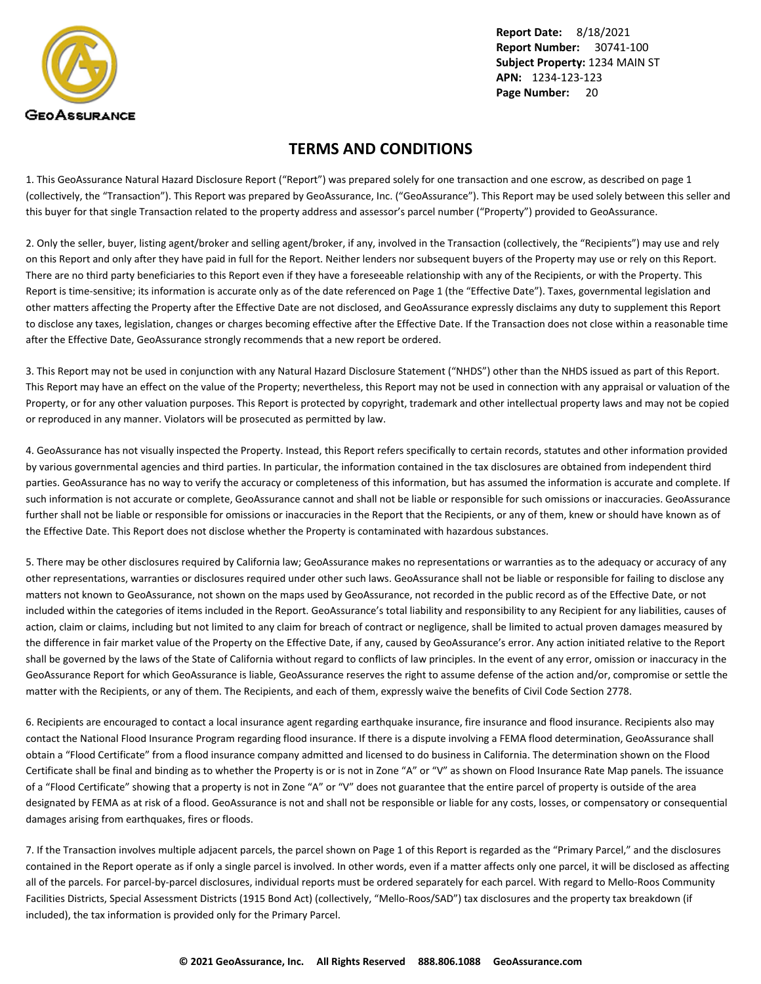<span id="page-21-0"></span>

### **TERMS AND CONDITIONS**

1. This GeoAssurance Natural Hazard Disclosure Report ("Report") was prepared solely for one transaction and one escrow, as described on page 1 (collectively, the "Transaction"). This Report was prepared by GeoAssurance, Inc. ("GeoAssurance"). This Report may be used solely between this seller and this buyer for that single Transaction related to the property address and assessor's parcel number ("Property") provided to GeoAssurance.

2. Only the seller, buyer, listing agent/broker and selling agent/broker, if any, involved in the Transaction (collectively, the "Recipients") may use and rely on this Report and only after they have paid in full for the Report. Neither lenders nor subsequent buyers of the Property may use or rely on this Report. There are no third party beneficiaries to this Report even if they have a foreseeable relationship with any of the Recipients, or with the Property. This Report is time-sensitive; its information is accurate only as of the date referenced on Page 1 (the "Effective Date"). Taxes, governmental legislation and other matters affecting the Property after the Effective Date are not disclosed, and GeoAssurance expressly disclaims any duty to supplement this Report to disclose any taxes, legislation, changes or charges becoming effective after the Effective Date. If the Transaction does not close within a reasonable time after the Effective Date, GeoAssurance strongly recommends that a new report be ordered.

3. This Report may not be used in conjunction with any Natural Hazard Disclosure Statement ("NHDS") other than the NHDS issued as part of this Report. This Report may have an effect on the value of the Property; nevertheless, this Report may not be used in connection with any appraisal or valuation of the Property, or for any other valuation purposes. This Report is protected by copyright, trademark and other intellectual property laws and may not be copied or reproduced in any manner. Violators will be prosecuted as permitted by law.

4. GeoAssurance has not visually inspected the Property. Instead, this Report refers specifically to certain records, statutes and other information provided by various governmental agencies and third parties. In particular, the information contained in the tax disclosures are obtained from independent third parties. GeoAssurance has no way to verify the accuracy or completeness of this information, but has assumed the information is accurate and complete. If such information is not accurate or complete, GeoAssurance cannot and shall not be liable or responsible for such omissions or inaccuracies. GeoAssurance further shall not be liable or responsible for omissions or inaccuracies in the Report that the Recipients, or any of them, knew or should have known as of the Effective Date. This Report does not disclose whether the Property is contaminated with hazardous substances.

5. There may be other disclosures required by California law; GeoAssurance makes no representations or warranties as to the adequacy or accuracy of any other representations, warranties or disclosures required under other such laws. GeoAssurance shall not be liable or responsible for failing to disclose any matters not known to GeoAssurance, not shown on the maps used by GeoAssurance, not recorded in the public record as of the Effective Date, or not included within the categories of items included in the Report. GeoAssurance's total liability and responsibility to any Recipient for any liabilities, causes of action, claim or claims, including but not limited to any claim for breach of contract or negligence, shall be limited to actual proven damages measured by the difference in fair market value of the Property on the Effective Date, if any, caused by GeoAssurance's error. Any action initiated relative to the Report shall be governed by the laws of the State of California without regard to conflicts of law principles. In the event of any error, omission or inaccuracy in the GeoAssurance Report for which GeoAssurance is liable, GeoAssurance reserves the right to assume defense of the action and/or, compromise or settle the matter with the Recipients, or any of them. The Recipients, and each of them, expressly waive the benefits of Civil Code Section 2778.

6. Recipients are encouraged to contact a local insurance agent regarding earthquake insurance, fire insurance and flood insurance. Recipients also may contact the National Flood Insurance Program regarding flood insurance. If there is a dispute involving a FEMA flood determination, GeoAssurance shall obtain a "Flood Certificate" from a flood insurance company admitted and licensed to do business in California. The determination shown on the Flood Certificate shall be final and binding as to whether the Property is or is not in Zone "A" or "V" as shown on Flood Insurance Rate Map panels. The issuance of a "Flood Certificate" showing that a property is not in Zone "A" or "V" does not guarantee that the entire parcel of property is outside of the area designated by FEMA as at risk of a flood. GeoAssurance is not and shall not be responsible or liable for any costs, losses, or compensatory or consequential damages arising from earthquakes, fires or floods.

7. If the Transaction involves multiple adjacent parcels, the parcel shown on Page 1 of this Report is regarded as the "Primary Parcel," and the disclosures contained in the Report operate as if only a single parcel is involved. In other words, even if a matter affects only one parcel, it will be disclosed as affecting all of the parcels. For parcel-by-parcel disclosures, individual reports must be ordered separately for each parcel. With regard to Mello-Roos Community Facilities Districts, Special Assessment Districts (1915 Bond Act) (collectively, "Mello-Roos/SAD") tax disclosures and the property tax breakdown (if included), the tax information is provided only for the Primary Parcel.